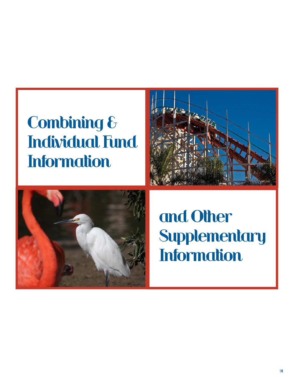# **Combining**  $\epsilon$ **Individual Fund Information**





and Other Supplementary **Information**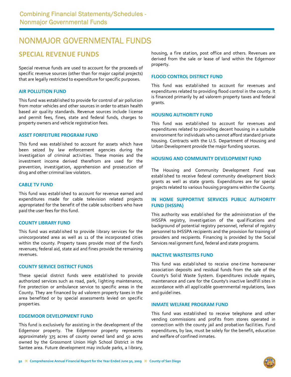## NONMAJOR GOVERNMENTAL FUNDS

## **SPECIAL REVENUE FUNDS**

Special revenue funds are used to account for the proceeds of specific revenue sources (other than for major capital projects) that are legally restricted to expenditure for specific purposes.

## **AIR POLLUTION FUND**

This fund was establ ished to provide for control of air pollution from motor vehicles and other sources in order to attain health based air qual ity standards. Revenue sources include l icense and permit fees, fines, state and federal funds, charges to property owners and vehicle registration fees.

## **ASSET FORFEITURE PROGRAM FUND**

This fund was establ ished to account for assets which have been seized by law enforcement agencies during the investigation of criminal activities. These monies and the investment income derived therefrom are used for the prevention, investigation, apprehension and prosecution of drug and other criminal law violators.

## **CABLE TV FUND**

This fund was establ ished to account for revenue earned and expenditures made for cable television related projects appropriated for the benefit of the cable subscribers who have paid the user fees for this fund.

#### **COUNTY LIBRARY FUND**

This fund was establ ished to provide l ibrary services for the unincorporated area as well as 11 of the incorporated cities within the county. Property taxes provide most of the fund's revenues; federal aid, state aid and fines provide the remaining revenues.

#### **COUNTY SERVICE DISTRICT FUNDS**

These special district funds were establ ished to provide authorized services such as road, park, l ighting maintenance, fire protection or ambulance service to specific areas in the County. They are financed by ad valorem property taxes in the area benefited or by special assessments levied on specific properties.

#### **EDGEMOOR DEVELOPMENT FUND**

This fund is exclusively for assisting in the development of the Edgemoor property. The Edgemoor property represents approximately 375 acres of county owned land and 50 acres owned by the Grossmont Union High School District in the Santee area. Future development may include parks, a l ibrary, housing, a fire station, post office and others. Revenues are derived from the sale or lease of land within the Edgemoor property.

### **FLOOD CONTROL DISTRICT FUND**

This fund was establ ished to account for revenues and expenditures related to providing flood control in the county. It is financed primarily by ad valorem property taxes and federal grants.

#### **HOUSING AUTHORITY FUND**

This fund was establ ished to account for revenues and expenditures related to providing decent housing in a suitable environment for individuals who cannot afford standard private housing. Contracts with the U.S. Department of Housing and Urban Development provide the major funding sources.

## **HOUSING AND COMMUNITY DEVELOPMENT FUND**

The Housing and Community Development Fund was establ ished to receive federal community development block grants as well as state grants. Expenditures are for special projects related to various housing programs within the County.

## **IN HOME SUPPORTIVE SERVICES PUBLIC AUTHORITY FUND (IHSSPA)**

This authority was establ ished for the administration of the IHSSPA registry, investigation of the qual ifications and background of potential registry personnel, referral of registry personnel to IHSSPA recipients and the provision for training of providers and recipients. Financing is provided by the Social Services real ignment fund, federal and state programs.

#### **INACTIVE WASTESITES FUND**

This fund was established to receive one-time homeowner association deposits and residual funds from the sale of the County's Sol id Waste System. Expenditures include repairs, maintenance and care for the County's inactive landfill sites in accordance with all appl icable governmental regulations, laws and guidel ines.

#### **INMATE WELFARE PROGRAM FUND**

This fund was established to receive telephone and other vending commissions and profits from stores operated in connection with the county jail and probation facil ities. Fund expenditures, by law, must be solely for the benefit, education and welfare of confined inmates.

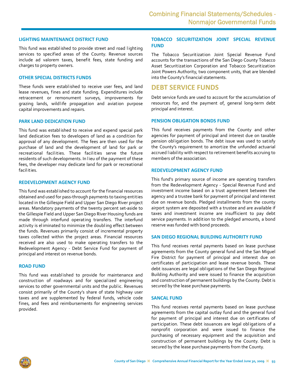#### **LIGHTING MAINTENANCE DISTRICT FUND**

This fund was established to provide street and road lighting services to specified areas of the County. Revenue sources include ad valorem taxes, benefit fees, state funding and charges to property owners.

#### **OTHER SPECIAL DISTRICTS FUNDS**

These funds were establ ished to receive user fees, and land lease revenues, fines and state funding. Expenditures include retracement or remonument surveys, improvements for grazing lands, wildl ife propagation and aviation purpose capital improvements and repairs.

#### **PARK LAND DEDICATION FUND**

This fund was establ ished to receive and expend special park land dedication fees to developers of land as a condition for approval of any development. The fees are then used for the purchase of land and the development of land for park or recreational facil ities. These facil ities serve the future residents of such developments. In l ieu of the payment of these fees, the developer may dedicate land for park or recreational facil ities.

#### **REDEVELOPMENT AGENCY FUND**

This fund was establ ished to account for the financial resources obtained and used for pass‐through payments to taxing entities located in the Gillespie Field and Upper San Diego River project areas. Mandatory payments of the twenty percent set‐aside to the Gillespie Field and Upper San Diego River Housing funds are made through interfund operating transfers. The interfund activity is el iminated to minimize the doubl ing effect between the funds. Revenues primarily consist of incremental property taxes collected within the project areas. Financial resources received are also used to make operating transfers to the Redevelopment Agency - Debt Service Fund for payment of principal and interest on revenue bonds.

#### **ROAD FUND**

This fund was establ ished to provide for maintenance and construction of roadways and for special ized engineering services to other governmental units and the publ ic. Revenues consist primarily of the County's share of state highway user taxes and are supplemented by federal funds, vehicle code fines, and fees and reimbursements for engineering services provided.

## **TOBACCO SECURITIZATION JOINT SPECIAL REVENUE FUND**

The Tobacco Securitization Joint Special Revenue Fund accounts for the transactions of the San Diego County Tobacco Asset Securitization Corporation and Tobacco Securitization Joint Powers Authority, two component units, that are blended into the County's financial statements.

## **DEBT SERVICE FUNDS**

Debt service funds are used to account for the accumulation of resources for, and the payment of, general long‐term debt principal and interest.

#### **PENSION OBLIGATION BONDS FUND**

This fund receives payments from the County and other agencies for payment of principal and interest due on taxable pension obl igation bonds. The debt issue was used to satisfy the County's requirement to amortize the unfunded actuarial accrued l iabil ity with respect to retirement benefits accruing to members of the association.

#### **REDEVELOPMENT AGENCY FUND**

This fund's primary source of income are operating transfers from the Redevelopment Agency ‐ Special Revenue Fund and investment income based on a trust agreement between the agency and a trustee bank for payment of principal and interest due on revenue bonds. Pledged installments from the county airport system are deposited with a trustee and are available if taxes and investment income are insufficient to pay debt service payments. In addition to the pledged amounts, a bond reserve was funded with bond proceeds.

#### **SAN DIEGO REGIONAL BUILDING AUTHORITY FUND**

This fund receives rental payments based on lease purchase agreements from the County general fund and the San Miguel Fire District for payment of principal and interest due on certificates of participation and lease revenue bonds. These debt issuances are legal obl igations of the San Diego Regional Building Authority and were issued to finance the acquisition and construction of permanent buildings by the County. Debt is secured by the lease purchase payments.

#### **SANCAL FUND**

This fund receives rental payments based on lease purchase agreements from the capital outlay fund and the general fund for payment of principal and interest due on certificates of participation. These debt issuances are legal obl igations of a nonprofit corporation and were issued to finance the purchasing of necessary equipment and the acquisition and construction of permanent buildings by the County. Debt is secured by the lease purchase payments from the County.

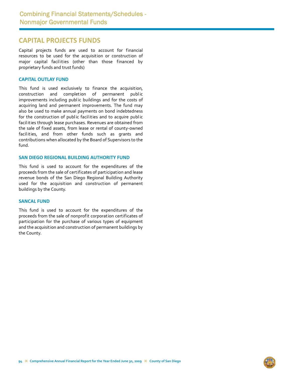## **CAPITAL PROJECTS FUNDS**

Capital projects funds are used to account for financial resources to be used for the acquisition or construction of major capital facil ities (other than those financed by proprietary funds and trust funds)

## **CAPITAL OUTLAY FUND**

This fund is used exclusively to finance the acquisition, construction and completion of permanent public improvements including publ ic buildings and for the costs of acquiring land and permanent improvements. The fund may also be used to make annual payments on bond indebtedness for the construction of publ ic facil ities and to acquire publ ic facil ities through lease purchases. Revenues are obtained from the sale of fixed assets, from lease or rental of county‐owned facil ities, and from other funds such as grants and contributions when allocated by the Board of Supervisors to the fund.

## **SAN DIEGO REGIONAL BUILDING AUTHORITY FUND**

This fund is used to account for the expenditures of the proceeds from the sale of certificates of participation and lease revenue bonds of the San Diego Regional Building Authority used for the acquisition and construction of permanent buildings by the County.

## **SANCAL FUND**

This fund is used to account for the expenditures of the proceeds from the sale of nonprofit corporation certificates of participation for the purchase of various types of equipment and the acquisition and construction of permanent buildings by the County.

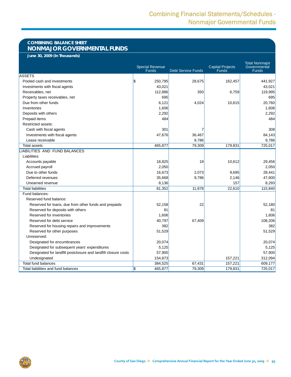## **COMBINING BALANCE SHEET NONMAJOR GOVERNMENTAL FUNDS**

**June 30, 2009 (In Thousands)**

|                                                                | <b>Special Revenue</b><br><b>Funds</b> | <b>Debt Service Funds</b> | <b>Capital Projects</b><br>Funds | <b>Total Nonmajor</b><br>Governmental<br>Funds |
|----------------------------------------------------------------|----------------------------------------|---------------------------|----------------------------------|------------------------------------------------|
| <b>ASSETS</b>                                                  |                                        |                           |                                  |                                                |
| Pooled cash and investments                                    | S.<br>250,795                          | 28,675                    | 162,457                          | 441,927                                        |
| Investments with fiscal agents                                 | 43,021                                 |                           |                                  | 43,021                                         |
| Receivables, net                                               | 112,886                                | 350                       | 6,759                            | 119,995                                        |
| Property taxes receivables, net                                | 695                                    |                           |                                  | 695                                            |
| Due from other funds                                           | 6.121                                  | 4,024                     | 10,615                           | 20.760                                         |
| Inventories                                                    | 1,606                                  |                           |                                  | 1,606                                          |
| Deposits with others                                           | 2,292                                  |                           |                                  | 2,292                                          |
| Prepaid items                                                  | 484                                    |                           |                                  | 484                                            |
| Restricted assets:                                             |                                        |                           |                                  |                                                |
| Cash with fiscal agents                                        | 301                                    | 7                         |                                  | 308                                            |
| Investments with fiscal agents                                 | 47,676                                 | 36,467                    |                                  | 84,143                                         |
| Lease receivable                                               |                                        | 9,786                     |                                  | 9,786                                          |
| <b>Total assets</b>                                            | 465,877                                | 79,309                    | 179,831                          | 725,017                                        |
| <b>LIABILITIES AND FUND BALANCES</b>                           |                                        |                           |                                  |                                                |
| Liabilities:                                                   |                                        |                           |                                  |                                                |
| Accounts payable                                               | 18,825                                 | 19                        | 10,612                           | 29,456                                         |
| Accrued payroll                                                | 2,050                                  |                           |                                  | 2,050                                          |
| Due to other funds                                             | 16,673                                 | 2,073                     | 9,695                            | 28,441                                         |
| Deferred revenues                                              | 35,668                                 | 9,786                     | 2,146                            | 47,600                                         |
| Unearned revenue                                               | 8,136                                  |                           | 157                              | 8,293                                          |
| <b>Total liabilities</b>                                       | 81,352                                 | 11,878                    | 22,610                           | 115,840                                        |
| Fund balances:                                                 |                                        |                           |                                  |                                                |
| Reserved fund balance:                                         |                                        |                           |                                  |                                                |
| Reserved for loans, due from other funds and prepaids          | 52,158                                 | 22                        |                                  | 52,180                                         |
| Reserved for deposits with others                              | 81                                     |                           |                                  | 81                                             |
| Reserved for inventories                                       | 1,606                                  |                           |                                  | 1,606                                          |
| Reserved for debt service                                      | 40,797                                 | 67,409                    |                                  | 108,206                                        |
| Reserved for housing repairs and improvements                  | 382                                    |                           |                                  | 382                                            |
| Reserved for other purposes                                    | 51,529                                 |                           |                                  | 51,529                                         |
| Unreserved:                                                    |                                        |                           |                                  |                                                |
| Designated for encumbrances                                    | 20,074                                 |                           |                                  | 20,074                                         |
| Designated for subsequent years' expenditures                  | 5,125                                  |                           |                                  | 5,125                                          |
| Designated for landfill postclosure and landfill closure costs | 57,900                                 |                           |                                  | 57,900                                         |
| Undesignated                                                   | 154,873                                |                           | 157,221                          | 312,094                                        |
| <b>Total fund balances</b>                                     | 384,525                                | 67,431                    | 157,221                          | 609,177                                        |
| Total liabilities and fund balances                            | \$<br>465,877                          | 79,309                    | 179,831                          | 725,017                                        |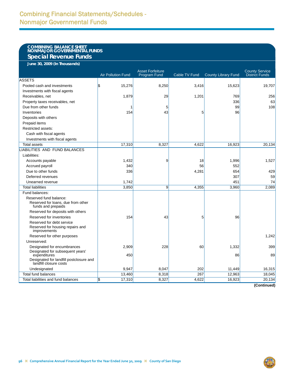## **COMBINING BALANCE SHEET NONMAJOR GOVERNMENTAL FUNDS Special Revenue Funds**

## **June 30, 2009 (In Thousands)**

|                                                                               | <b>Air Pollution Fund</b> | <b>Asset Forfeiture</b><br><b>Program Fund</b> | Cable TV Fund | <b>County Library Fund</b> | <b>County Service</b><br><b>District Funds</b> |
|-------------------------------------------------------------------------------|---------------------------|------------------------------------------------|---------------|----------------------------|------------------------------------------------|
| <b>ASSETS</b>                                                                 |                           |                                                |               |                            |                                                |
| Pooled cash and investments                                                   | \$<br>15,276              | 8,250                                          | 3,416         | 15,623                     | 19,707                                         |
| Investments with fiscal agents                                                |                           |                                                |               |                            |                                                |
| Receivables, net                                                              | 1,879                     | 29                                             | 1,201         | 769                        | 256                                            |
| Property taxes receivables, net                                               |                           |                                                |               | 336                        | 63                                             |
| Due from other funds                                                          | -1                        | 5                                              |               | 99                         | 108                                            |
| Inventories                                                                   | 154                       | 43                                             | 5             | 96                         |                                                |
| Deposits with others                                                          |                           |                                                |               |                            |                                                |
| Prepaid items                                                                 |                           |                                                |               |                            |                                                |
| <b>Restricted assets:</b>                                                     |                           |                                                |               |                            |                                                |
| Cash with fiscal agents                                                       |                           |                                                |               |                            |                                                |
| Investments with fiscal agents                                                |                           |                                                |               |                            |                                                |
| <b>Total assets</b>                                                           | 17,310                    | 8,327                                          | 4,622         | 16,923                     | 20,134                                         |
| <b>LIABILITIES AND FUND BALANCES</b>                                          |                           |                                                |               |                            |                                                |
| Liabilities:                                                                  |                           |                                                |               |                            |                                                |
| Accounts payable                                                              | 1,432                     | 9                                              | 18            | 1,996                      | 1,527                                          |
| Accrued payroll                                                               | 340                       |                                                | 56            | 552                        |                                                |
| Due to other funds                                                            | 336                       |                                                | 4,281         | 654                        | 429                                            |
| Deferred revenues                                                             |                           |                                                |               | 307                        | 59                                             |
| Unearned revenue                                                              | 1,742                     |                                                |               | 451                        | 74                                             |
| <b>Total liabilities</b>                                                      | 3,850                     | $\overline{9}$                                 | 4,355         | 3,960                      | 2,089                                          |
| Fund balances:                                                                |                           |                                                |               |                            |                                                |
| Reserved fund balance:                                                        |                           |                                                |               |                            |                                                |
| Reserved for loans, due from other<br>funds and prepaids                      |                           |                                                |               |                            |                                                |
| Reserved for deposits with others                                             |                           |                                                |               |                            |                                                |
| Reserved for inventories                                                      | 154                       | 43                                             | 5             | 96                         |                                                |
| Reserved for debt service<br>Reserved for housing repairs and<br>improvements |                           |                                                |               |                            |                                                |
| Reserved for other purposes                                                   |                           |                                                |               |                            | 1,242                                          |
| Unreserved:                                                                   |                           |                                                |               |                            |                                                |
| Designated for encumbrances                                                   | 2,909                     | 228                                            | 60            | 1,332                      | 399                                            |
| Designated for subsequent years'<br>expenditures                              | 450                       |                                                |               | 86                         | 89                                             |
| Designated for landfill postclosure and<br>landfill closure costs             |                           |                                                |               |                            |                                                |
| Undesignated                                                                  | 9,947                     | 8,047                                          | 202           | 11,449                     | 16,315                                         |
| <b>Total fund balances</b>                                                    | 13,460                    | 8,318                                          | 267           | 12,963                     | 18,045                                         |
| Total liabilities and fund balances                                           | 5<br>17,310               | 8,327                                          | 4,622         | 16,923                     | 20,134                                         |

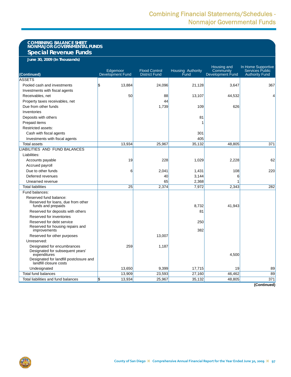## **COMBINING BALANCE SHEET NONMAJOR GOVERNMENTAL FUNDS Special Revenue Funds**

**June 30, 2009 (In Thousands)**

|                                                                   |                                     |                                              |                           | Housing and                          | In Home Supportive                       |
|-------------------------------------------------------------------|-------------------------------------|----------------------------------------------|---------------------------|--------------------------------------|------------------------------------------|
| (Continued)                                                       | Edgemoor<br><b>Development Fund</b> | <b>Flood Control</b><br><b>District Fund</b> | Housing Authority<br>Fund | Community<br><b>Development Fund</b> | Services Public<br><b>Authority Fund</b> |
| <b>ASSETS</b>                                                     |                                     |                                              |                           |                                      |                                          |
| Pooled cash and investments                                       | \$<br>13,884                        | 24,096                                       | 21,128                    | 3,647                                | 367                                      |
| Investments with fiscal agents                                    |                                     |                                              |                           |                                      |                                          |
| Receivables, net                                                  | 50                                  | 88                                           | 13,107                    | 44,532                               | 4                                        |
| Property taxes receivables, net                                   |                                     | 44                                           |                           |                                      |                                          |
| Due from other funds                                              |                                     | 1,739                                        | 109                       | 626                                  |                                          |
| Inventories                                                       |                                     |                                              |                           |                                      |                                          |
| Deposits with others                                              |                                     |                                              | 81                        |                                      |                                          |
| Prepaid items                                                     |                                     |                                              |                           |                                      |                                          |
| <b>Restricted assets:</b>                                         |                                     |                                              |                           |                                      |                                          |
| Cash with fiscal agents                                           |                                     |                                              | 301                       |                                      |                                          |
| Investments with fiscal agents                                    |                                     |                                              | 405                       |                                      |                                          |
| Total assets                                                      | 13,934                              | 25,967                                       | 35,132                    | 48,805                               | 371                                      |
| LIABILITIES AND FUND BALANCES                                     |                                     |                                              |                           |                                      |                                          |
| Liabilities:                                                      |                                     |                                              |                           |                                      |                                          |
| Accounts payable                                                  | 19                                  | 228                                          | 1,029                     | 2,228                                | 62                                       |
| Accrued payroll                                                   |                                     |                                              |                           |                                      |                                          |
| Due to other funds                                                | 6                                   | 2,041                                        | 1,431                     | 108                                  | 220                                      |
| Deferred revenues                                                 |                                     | 40                                           | 3,144                     | 6                                    |                                          |
| Unearned revenue                                                  |                                     | 65                                           | 2,368                     |                                      |                                          |
| <b>Total liabilities</b>                                          | 25                                  | 2,374                                        | 7,972                     | 2,343                                | 282                                      |
| Fund balances:                                                    |                                     |                                              |                           |                                      |                                          |
| Reserved fund balance:                                            |                                     |                                              |                           |                                      |                                          |
| Reserved for loans, due from other<br>funds and prepaids          |                                     |                                              | 8,732                     | 41,943                               |                                          |
| Reserved for deposits with others                                 |                                     |                                              | 81                        |                                      |                                          |
| Reserved for inventories                                          |                                     |                                              |                           |                                      |                                          |
| Reserved for debt service                                         |                                     |                                              | 250                       |                                      |                                          |
| Reserved for housing repairs and<br>improvements                  |                                     |                                              | 382                       |                                      |                                          |
| Reserved for other purposes                                       |                                     | 13,007                                       |                           |                                      |                                          |
| Unreserved:                                                       |                                     |                                              |                           |                                      |                                          |
| Designated for encumbrances                                       | 259                                 | 1,187                                        |                           |                                      |                                          |
| Designated for subsequent years'<br>expenditures                  |                                     |                                              |                           | 4,500                                |                                          |
| Designated for landfill postclosure and<br>landfill closure costs |                                     |                                              |                           |                                      |                                          |
| Undesignated                                                      | 13,650                              | 9,399                                        | 17,715                    | 19                                   | 89                                       |
| <b>Total fund balances</b>                                        | 13,909                              | 23,593                                       | 27,160                    | 46,462                               | 89                                       |
| Total liabilities and fund balances                               | $\overline{\mathbf{S}}$<br>13,934   | 25,967                                       | 35,132                    | 48,805                               | 371                                      |

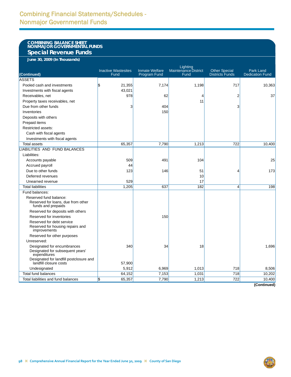## **COMBINING BALANCE SHEET NONMAJOR GOVERNMENTAL FUNDS Special Revenue Funds**

**June 30, 2009 (In Thousands)**

|                                                                                    | <b>Inactive Wastesites</b> | <b>Inmate Welfare</b> | Lighting<br>Maintenance District | <b>Other Special</b>   | <b>Park Land</b>       |
|------------------------------------------------------------------------------------|----------------------------|-----------------------|----------------------------------|------------------------|------------------------|
| (Continued)                                                                        | Fund                       | <b>Program Fund</b>   | Fund                             | <b>Districts Funds</b> | <b>Dedication Fund</b> |
| <b>ASSETS</b>                                                                      |                            |                       |                                  |                        |                        |
| Pooled cash and investments                                                        | \$<br>21,355               | 7,174                 | 1,198                            | 717                    | 10,363                 |
| Investments with fiscal agents                                                     | 43,021                     |                       |                                  |                        |                        |
| Receivables, net                                                                   | 978                        | 62                    | 4                                | $\overline{2}$         | 37                     |
| Property taxes receivables, net                                                    |                            |                       | 11                               |                        |                        |
| Due from other funds                                                               | 3                          | 404                   |                                  | 3                      |                        |
| Inventories                                                                        |                            | 150                   |                                  |                        |                        |
| Deposits with others                                                               |                            |                       |                                  |                        |                        |
| Prepaid items                                                                      |                            |                       |                                  |                        |                        |
| Restricted assets:                                                                 |                            |                       |                                  |                        |                        |
| Cash with fiscal agents                                                            |                            |                       |                                  |                        |                        |
| Investments with fiscal agents                                                     |                            |                       |                                  |                        |                        |
| <b>Total assets</b>                                                                | 65,357                     | 7,790                 | 1,213                            | 722                    | 10,400                 |
| <b>LIABILITIES AND FUND BALANCES</b>                                               |                            |                       |                                  |                        |                        |
| Liabilities:                                                                       |                            |                       |                                  |                        |                        |
| Accounts payable                                                                   | 509                        | 491                   | 104                              |                        | 25                     |
| Accrued payroll                                                                    | 44                         |                       |                                  |                        |                        |
| Due to other funds                                                                 | 123                        | 146                   | 51                               | 4                      | 173                    |
| Deferred revenues                                                                  |                            |                       | 10                               |                        |                        |
| Unearned revenue                                                                   | 529                        |                       | 17                               |                        |                        |
| <b>Total liabilities</b>                                                           | 1,205                      | 637                   | 182                              | 4                      | 198                    |
| Fund balances:                                                                     |                            |                       |                                  |                        |                        |
| Reserved fund balance:<br>Reserved for loans, due from other<br>funds and prepaids |                            |                       |                                  |                        |                        |
| Reserved for deposits with others                                                  |                            |                       |                                  |                        |                        |
| Reserved for inventories                                                           |                            | 150                   |                                  |                        |                        |
| Reserved for debt service                                                          |                            |                       |                                  |                        |                        |
| Reserved for housing repairs and<br>improvements                                   |                            |                       |                                  |                        |                        |
| Reserved for other purposes                                                        |                            |                       |                                  |                        |                        |
| Unreserved:                                                                        |                            |                       |                                  |                        |                        |
| Designated for encumbrances                                                        | 340                        | 34                    | 18                               |                        | 1,696                  |
| Designated for subsequent years'<br>expenditures                                   |                            |                       |                                  |                        |                        |
| Designated for landfill postclosure and<br>landfill closure costs                  | 57,900                     |                       |                                  |                        |                        |
| Undesignated                                                                       | 5,912                      | 6,969                 | 1,013                            | 718                    | 8,506                  |
| <b>Total fund balances</b>                                                         | 64,152                     | 7,153                 | 1,031                            | 718                    | 10,202                 |
| Total liabilities and fund balances                                                | S.<br>65,357               | 7,790                 | 1,213                            | 722                    | 10,400                 |

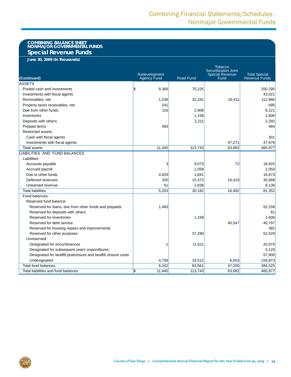# **COMBINING BALANCE SHEET NONMAJOR GOVERNMENTAL FUNDS**

| <b>Special Revenue Funds</b>                                   |                                    |                  |                                                                                 |                                              |
|----------------------------------------------------------------|------------------------------------|------------------|---------------------------------------------------------------------------------|----------------------------------------------|
| June 30, 2009 (In Thousands)                                   |                                    |                  |                                                                                 |                                              |
| (Continued)                                                    | Redevelopment<br>Agency Fund       | <b>Road Fund</b> | <b>Tobacco</b><br><b>Securitization Joint</b><br><b>Special Revenue</b><br>Fund | <b>Total Special</b><br><b>Revenue Funds</b> |
| <b>ASSETS</b>                                                  |                                    |                  |                                                                                 |                                              |
| Pooled cash and investments                                    | $\boldsymbol{\mathsf{s}}$<br>9,369 | 75,225           |                                                                                 | 250,795                                      |
| Investments with fiscal agents                                 |                                    |                  |                                                                                 | 43,021                                       |
| Receivables, net                                               | 1,236                              | 32,241           | 16,411                                                                          | 112,886                                      |
| Property taxes receivables, net                                | 241                                |                  |                                                                                 | 695                                          |
| Due from other funds                                           | 116                                | 2,908            |                                                                                 | 6,121                                        |
| Inventories                                                    |                                    | 1,158            |                                                                                 | 1,606                                        |
| Deposits with others                                           |                                    | 2,211            |                                                                                 | 2,292                                        |
| Prepaid items                                                  | 483                                |                  |                                                                                 | 484                                          |
| Restricted assets:                                             |                                    |                  |                                                                                 |                                              |
| Cash with fiscal agents                                        |                                    |                  |                                                                                 | 301                                          |
| Investments with fiscal agents                                 |                                    |                  | 47,271                                                                          | 47,676                                       |
| <b>Total assets</b>                                            | 11,445                             | 113,743          | 63,682                                                                          | 465,877                                      |
| LIABILITIES AND FUND BALANCES                                  |                                    |                  |                                                                                 |                                              |
| Liabilities:                                                   |                                    |                  |                                                                                 |                                              |
| Accounts payable                                               | 3                                  | 9,073            | 72                                                                              | 18,825                                       |
| Accrued payroll                                                |                                    | 1,058            |                                                                                 | 2.050                                        |
| Due to other funds                                             | 4,829                              | 1,841            |                                                                                 | 16,673                                       |
| Deferred revenues                                              | 320                                | 15,372           | 16,410                                                                          | 35,668                                       |
| Unearned revenue                                               | 51                                 | 2,838            |                                                                                 | 8,136                                        |
| <b>Total liabilities</b>                                       | 5,203                              | 30,182           | 16,482                                                                          | 81,352                                       |
| Fund balances:                                                 |                                    |                  |                                                                                 |                                              |
| Reserved fund balance:                                         |                                    |                  |                                                                                 |                                              |
| Reserved for loans, due from other funds and prepaids          | 1,483                              |                  |                                                                                 | 52,158                                       |
| Reserved for deposits with others                              |                                    |                  |                                                                                 | 81                                           |
| Reserved for inventories                                       |                                    | 1,158            |                                                                                 | 1,606                                        |
| Reserved for debt service                                      |                                    |                  | 40,547                                                                          | 40,797                                       |
| Reserved for housing repairs and improvements                  |                                    |                  |                                                                                 | 382                                          |
| Reserved for other purposes                                    |                                    | 37,280           |                                                                                 | 51,529                                       |
| Unreserved:                                                    |                                    |                  |                                                                                 |                                              |
| Designated for encumbrances                                    | 1                                  | 11,611           |                                                                                 | 20,074                                       |
| Designated for subsequent years' expenditures                  |                                    |                  |                                                                                 | 5,125                                        |
| Designated for landfill postclosure and landfill closure costs |                                    |                  |                                                                                 | 57,900                                       |
| Undesignated                                                   | 4,758                              | 33,512           | 6,653                                                                           | 154,873                                      |
| <b>Total fund balances</b>                                     | 6,242                              | 83,561           | 47,200                                                                          | 384,525                                      |
| Total liabilities and fund balances                            | S.<br>11,445                       | 113,743          | 63,682                                                                          | 465,877                                      |
|                                                                |                                    |                  |                                                                                 |                                              |

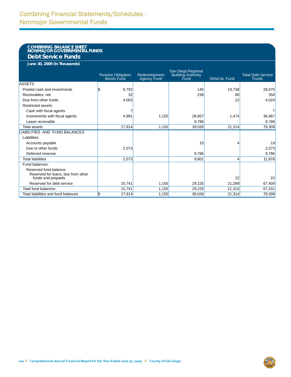## **COMBINING BALANCE SHEET NONMAJOR GOVERNMENTAL FUNDS Debt Service Funds**

## **June 30, 2009 (In Thousands)**

|                                                          | Pension Obligation<br><b>Bonds Fund</b> | Redevelopment      | San Diego Regional<br><b>Building Authority</b><br>Fund | <b>SANCAL Fund</b> | <b>Total Debt Service</b><br><b>Funds</b> |
|----------------------------------------------------------|-----------------------------------------|--------------------|---------------------------------------------------------|--------------------|-------------------------------------------|
| <b>ASSETS</b>                                            |                                         | <b>Agency Fund</b> |                                                         |                    |                                           |
|                                                          |                                         |                    |                                                         |                    |                                           |
| Pooled cash and investments                              | 8,792                                   |                    | 145                                                     | 19,738             | 28,675                                    |
| Receivables, net                                         | 32                                      |                    | 238                                                     | 80                 | 350                                       |
| Due from other funds                                     | 4,002                                   |                    |                                                         | 22                 | 4,024                                     |
| Restricted assets:                                       |                                         |                    |                                                         |                    |                                           |
| Cash with fiscal agents                                  |                                         |                    |                                                         |                    |                                           |
| Investments with fiscal agents                           | 4,981                                   | 1,155              | 28,857                                                  | 1,474              | 36,467                                    |
| Lease receivable                                         |                                         |                    | 9,786                                                   |                    | 9,786                                     |
| <b>Total assets</b>                                      | 17,814                                  | 1,155              | 39,026                                                  | 21,314             | 79,309                                    |
| LIABILITIES AND FUND BALANCES                            |                                         |                    |                                                         |                    |                                           |
| Liabilities:                                             |                                         |                    |                                                         |                    |                                           |
| Accounts payable                                         |                                         |                    | 15                                                      |                    | 19                                        |
| Due to other funds                                       | 2,073                                   |                    |                                                         |                    | 2,073                                     |
| Deferred revenue                                         |                                         |                    | 9,786                                                   |                    | 9,786                                     |
| <b>Total liabilities</b>                                 | 2,073                                   |                    | 9,801                                                   | 4                  | 11,878                                    |
| Fund balances:                                           |                                         |                    |                                                         |                    |                                           |
| Reserved fund balance:                                   |                                         |                    |                                                         |                    |                                           |
| Reserved for loans, due from other<br>funds and prepaids |                                         |                    |                                                         | 22                 | 22                                        |
| Reserved for debt service                                | 15,741                                  | 1,155              | 29,225                                                  | 21,288             | 67,409                                    |
| <b>Total fund balances</b>                               | 15,741                                  | 1,155              | 29,225                                                  | 21,310             | 67,431                                    |
| Total liabilities and fund balances                      | 1\$<br>17,814                           | 1,155              | 39,026                                                  | 21,314             | 79,309                                    |

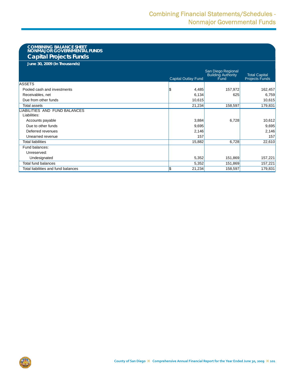## **COMBINING BALANCE SHEET NONMAJOR GOVERNMENTAL FUNDS Capital Projects Funds**

**June 30, 2009 (In Thousands)**

|                                     | <b>Capital Outlay Fund</b> | San Diego Regional<br><b>Building Authority</b><br>Fund | <b>Total Capital</b><br><b>Projects Funds</b> |
|-------------------------------------|----------------------------|---------------------------------------------------------|-----------------------------------------------|
| <b>ASSETS</b>                       |                            |                                                         |                                               |
| Pooled cash and investments         | 4,485                      | 157,972                                                 | 162,457                                       |
| Receivables, net                    | 6,134                      | 625                                                     | 6,759                                         |
| Due from other funds                | 10,615                     |                                                         | 10,615                                        |
| <b>Total assets</b>                 | 21,234                     | 158,597                                                 | 179,831                                       |
| LIABILITIES AND FUND BALANCES       |                            |                                                         |                                               |
| Liabilities:                        |                            |                                                         |                                               |
| Accounts payable                    | 3,884                      | 6,728                                                   | 10,612                                        |
| Due to other funds                  | 9,695                      |                                                         | 9,695                                         |
| Deferred revenues                   | 2,146                      |                                                         | 2,146                                         |
| Unearned revenue                    | 157                        |                                                         | 157                                           |
| Total liabilities                   | 15,882                     | 6,728                                                   | 22,610                                        |
| Fund balances:                      |                            |                                                         |                                               |
| Unreserved:                         |                            |                                                         |                                               |
| Undesignated                        | 5,352                      | 151,869                                                 | 157,221                                       |
| Total fund balances                 | 5,352                      | 151,869                                                 | 157,221                                       |
| Total liabilities and fund balances | \$<br>21,234               | 158,597                                                 | 179,831                                       |

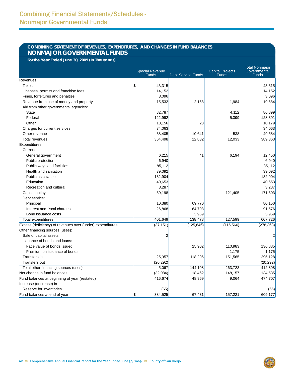**For the Year Ended June 30, 2009 (In Thousands)**

|                                                           | <b>Special Revenue</b><br><b>Funds</b> | <b>Debt Service Funds</b> | <b>Capital Projects</b><br><b>Funds</b> | <b>Total Nonmajor</b><br>Governmental<br><b>Funds</b> |
|-----------------------------------------------------------|----------------------------------------|---------------------------|-----------------------------------------|-------------------------------------------------------|
| Revenues:                                                 |                                        |                           |                                         |                                                       |
| Taxes                                                     | l\$<br>43,315                          |                           |                                         | 43,315                                                |
| Licenses, permits and franchise fees                      | 14,152                                 |                           |                                         | 14,152                                                |
| Fines, forfeitures and penalties                          | 3,096                                  |                           |                                         | 3,096                                                 |
| Revenue from use of money and property                    | 15,532                                 | 2,168                     | 1,984                                   | 19,684                                                |
| Aid from other governmental agencies:                     |                                        |                           |                                         |                                                       |
| <b>State</b>                                              | 82,787                                 |                           | 4,112                                   | 86,899                                                |
| Federal                                                   | 122,992                                |                           | 5,399                                   | 128,391                                               |
| Other                                                     | 10,156                                 | 23                        |                                         | 10,179                                                |
| Charges for current services                              | 34,063                                 |                           |                                         | 34,063                                                |
| Other revenue                                             | 38,405                                 | 10,641                    | 538                                     | 49,584                                                |
| <b>Total revenues</b>                                     | 364,498                                | 12,832                    | 12,033                                  | 389,363                                               |
| Expenditures:                                             |                                        |                           |                                         |                                                       |
| Current:                                                  |                                        |                           |                                         |                                                       |
| General government                                        | 6,215                                  | 41                        | 6,194                                   | 12,450                                                |
| Public protection                                         | 6,940                                  |                           |                                         | 6,940                                                 |
| Public ways and facilities                                | 85,112                                 |                           |                                         | 85,112                                                |
| Health and sanitation                                     | 39,092                                 |                           |                                         | 39,092                                                |
| Public assistance                                         | 132,904                                |                           |                                         | 132,904                                               |
| Education                                                 | 40,653                                 |                           |                                         | 40,653                                                |
| Recreation and cultural                                   | 3,287                                  |                           |                                         | 3,287                                                 |
| Capital outlay                                            | 50,198                                 |                           | 121,405                                 | 171,603                                               |
| Debt service:                                             |                                        |                           |                                         |                                                       |
| Principal                                                 | 10,380                                 | 69,770                    |                                         | 80,150                                                |
| Interest and fiscal charges                               | 26,868                                 | 64,708                    |                                         | 91,576                                                |
| Bond issuance costs                                       |                                        | 3,959                     |                                         | 3,959                                                 |
| Total expenditures                                        | 401,649                                | 138,478                   | 127,599                                 | 667,726                                               |
| Excess (deficiency) of revenues over (under) expenditures | (37, 151)                              | (125, 646)                | (115, 566)                              | (278, 363)                                            |
| Other financing sources (uses):                           |                                        |                           |                                         |                                                       |
| Sale of capital assets                                    | $\overline{2}$                         |                           |                                         | $\overline{2}$                                        |
| Issuance of bonds and loans:                              |                                        |                           |                                         |                                                       |
| Face value of bonds issued                                |                                        | 25,902                    | 110,983                                 | 136,885                                               |
| Premium on issuance of bonds                              |                                        |                           | 1,175                                   | 1,175                                                 |
| Transfers in                                              | 25,357                                 | 118,206                   | 151,565                                 | 295,128                                               |
| Transfers out                                             | (20, 292)                              |                           |                                         | (20, 292)                                             |
| Total other financing sources (uses)                      | 5,067                                  | 144,108                   | 263,723                                 | 412,898                                               |
| Net change in fund balances                               | (32,084)                               | 18,462                    | 148,157                                 | 134,535                                               |
| Fund balances at beginning of year (restated)             | 416,674                                | 48,969                    | 9,064                                   | 474,707                                               |
| Increase (decrease) in                                    |                                        |                           |                                         |                                                       |
| Reserve for inventories                                   | (65)                                   |                           |                                         | (65)                                                  |
| Fund balances at end of year                              | $\frac{1}{2}$<br>384,525               | 67,431                    | 157,221                                 | 609,177                                               |

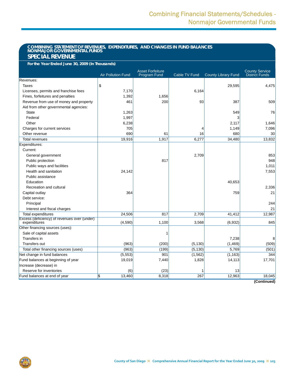## **SPECIAL REVENUE**

**For the Year Ended June 30, 2009 (In Thousands)**

| For the real Ended June 30, 2007 (in mousands)               |                           |                                                |               |                            |                                                |
|--------------------------------------------------------------|---------------------------|------------------------------------------------|---------------|----------------------------|------------------------------------------------|
|                                                              | <b>Air Pollution Fund</b> | <b>Asset Forfeiture</b><br><b>Program Fund</b> | Cable TV Fund | <b>County Library Fund</b> | <b>County Service</b><br><b>District Funds</b> |
| Revenues:                                                    |                           |                                                |               |                            |                                                |
| Taxes                                                        | \$                        |                                                |               | 29,595                     | 4,475                                          |
| Licenses, permits and franchise fees                         | 7,170                     |                                                | 6,164         |                            |                                                |
| Fines, forfeitures and penalties                             | 1,392                     | 1,656                                          |               |                            |                                                |
| Revenue from use of money and property                       | 461                       | 200                                            | 93            | 387                        | 509                                            |
| Aid from other governmental agencies:                        |                           |                                                |               |                            |                                                |
| <b>State</b>                                                 | 1,263                     |                                                |               | 549                        | 76                                             |
| Federal                                                      | 1,997                     |                                                |               | 3                          |                                                |
| Other                                                        | 6,238                     |                                                |               | 2,117                      | 1,646                                          |
| Charges for current services                                 | 705                       |                                                |               | 1,149                      | 7,096                                          |
| Other revenue                                                | 690                       | 61                                             | 16            | 680                        | 30                                             |
| Total revenues                                               | 19,916                    | 1,917                                          | 6,277         | 34,480                     | 13,832                                         |
| Expenditures:                                                |                           |                                                |               |                            |                                                |
| Current:                                                     |                           |                                                |               |                            |                                                |
| General government                                           |                           |                                                | 2,709         |                            | 853                                            |
| Public protection                                            |                           | 817                                            |               |                            | 948                                            |
| Public ways and facilities                                   |                           |                                                |               |                            | 1,011                                          |
| Health and sanitation                                        | 24,142                    |                                                |               |                            | 7,553                                          |
| Public assistance                                            |                           |                                                |               |                            |                                                |
| Education                                                    |                           |                                                |               | 40,653                     |                                                |
| Recreation and cultural                                      |                           |                                                |               |                            | 2,336                                          |
| Capital outlay                                               | 364                       |                                                |               | 759                        | 21                                             |
| Debt service:                                                |                           |                                                |               |                            |                                                |
| Principal                                                    |                           |                                                |               |                            | 244                                            |
| Interest and fiscal charges                                  |                           |                                                |               |                            | 21                                             |
| Total expenditures                                           | 24,506                    | 817                                            | 2,709         | 41,412                     | 12,987                                         |
| Excess (deficiency) of revenues over (under)<br>expenditures | (4,590)                   | 1,100                                          | 3,568         | (6,932)                    | 845                                            |
| Other financing sources (uses):                              |                           |                                                |               |                            |                                                |
| Sale of capital assets                                       |                           | 1                                              |               |                            |                                                |
| Transfers in                                                 |                           |                                                |               | 7,238                      | 8                                              |
| Transfers out                                                | (963)                     | (200)                                          | (5, 130)      | (1, 469)                   | (509)                                          |
| Total other financing sources (uses)                         | (963)                     | (199)                                          | (5, 130)      | 5,769                      | (501)                                          |
| Net change in fund balances                                  | (5, 553)                  | 901                                            | (1, 562)      | (1, 163)                   | 344                                            |
| Fund balances at beginning of year                           | 19,019                    | 7,440                                          | 1,828         | 14,113                     | 17,701                                         |
| Increase (decrease) in                                       |                           |                                                |               |                            |                                                |
| Reserve for inventories                                      | (6)                       | (23)                                           |               | 13                         |                                                |
| Fund balances at end of year                                 | l\$<br>13,460             | 8,318                                          | 267           | 12,963                     | 18,045<br>$\sim$                               |

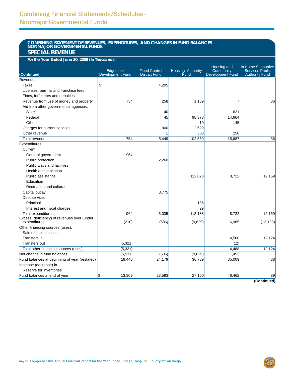**SPECIAL REVENUE**

**For the Year Ended June 30, 2009 (In Thousands)**

|                                                              | Edgemoor                | <b>Flood Control</b><br><b>District Fund</b> | Housing Authority | <b>Housing and</b><br>Community | In Home Supportive<br>Services Public |
|--------------------------------------------------------------|-------------------------|----------------------------------------------|-------------------|---------------------------------|---------------------------------------|
| (Continued)<br>Revenues:                                     | <b>Development Fund</b> |                                              | Fund              | <b>Development Fund</b>         | <b>Authority Fund</b>                 |
| Taxes                                                        | \$                      | 4,205                                        |                   |                                 |                                       |
| Licenses, permits and franchise fees                         |                         |                                              |                   |                                 |                                       |
| Fines, forfeitures and penalties                             |                         |                                              |                   |                                 |                                       |
| Revenue from use of money and property                       | 754                     | 258                                          | 1,159             | 7                               | 36                                    |
| Aid from other governmental agencies:                        |                         |                                              |                   |                                 |                                       |
| <b>State</b>                                                 |                         | 40                                           |                   | 621                             |                                       |
| Federal                                                      |                         | 45                                           | 98,378            | 14,664                          |                                       |
| Other                                                        |                         |                                              | 10                | 145                             |                                       |
| Charges for current services                                 |                         | 900                                          | 2,629             |                                 |                                       |
| Other revenue                                                |                         | 1                                            | 383               | 250                             |                                       |
| <b>Total revenues</b>                                        | 754                     | 5,449                                        | 102,559           | 15,687                          | 36                                    |
| Expenditures:                                                |                         |                                              |                   |                                 |                                       |
| Current:                                                     |                         |                                              |                   |                                 |                                       |
| General government                                           | 964                     |                                              |                   |                                 |                                       |
| Public protection                                            |                         | 2,260                                        |                   |                                 |                                       |
| Public ways and facilities                                   |                         |                                              |                   |                                 |                                       |
| Health and sanitation                                        |                         |                                              |                   |                                 |                                       |
| Public assistance                                            |                         |                                              | 112,023           | 8,722                           | 12,159                                |
| Education                                                    |                         |                                              |                   |                                 |                                       |
| Recreation and cultural                                      |                         |                                              |                   |                                 |                                       |
| Capital outlay                                               |                         | 3,775                                        |                   |                                 |                                       |
| Debt service:                                                |                         |                                              |                   |                                 |                                       |
| Principal                                                    |                         |                                              | 136               |                                 |                                       |
| Interest and fiscal charges                                  |                         |                                              | 29                |                                 |                                       |
| Total expenditures                                           | 964                     | 6,035                                        | 112,188           | 8,722                           | 12,159                                |
| Excess (deficiency) of revenues over (under)<br>expenditures | (210)                   | (586)                                        | (9,629)           | 6,965                           | (12, 123)                             |
| Other financing sources (uses):                              |                         |                                              |                   |                                 |                                       |
| Sale of capital assets                                       |                         |                                              |                   |                                 |                                       |
| Transfers in                                                 |                         |                                              |                   | 4,500                           | 12,124                                |
| Transfers out                                                | (5, 321)                |                                              |                   | (12)                            |                                       |
| Total other financing sources (uses)                         | (5, 321)                |                                              |                   | 4,488                           | 12,124                                |
| Net change in fund balances                                  | (5,531)                 | (586)                                        | (9,629)           | 11,453                          |                                       |
| Fund balances at beginning of year (restated)                | 19,440                  | 24,179                                       | 36,789            | 35,009                          | 88                                    |
| Increase (decrease) in                                       |                         |                                              |                   |                                 |                                       |
| Reserve for inventories                                      |                         |                                              |                   |                                 |                                       |
| Fund balances at end of year                                 | 5<br>13,909             | 23,593                                       | 27,160            | 46,462                          | 89                                    |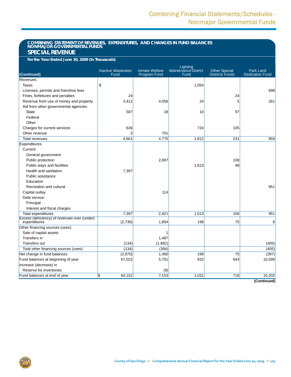## Combining Financial Statements/Schedules - Nonmajor Governmental Funds

# **COMBINING STATEMENT OF REVENUES, EXPENDITURES, AND CHANGES IN FUND BALANCES NONMAJOR GOVERNMENTAL FUNDS**

**SPECIAL REVENUE**

**For the Year Ended June 30, 2009 (In Thousands)**

|                                              | <b>Inactive Wastesites</b>         | <b>Inmate Welfare</b> | Lighting<br>Maintenance District | <b>Other Special</b>   | <b>Park Land</b>       |
|----------------------------------------------|------------------------------------|-----------------------|----------------------------------|------------------------|------------------------|
| (Continued)                                  | Fund                               | <b>Program Fund</b>   | Fund                             | <b>Districts Funds</b> | <b>Dedication Fund</b> |
| Revenues:                                    |                                    |                       |                                  |                        |                        |
| Taxes                                        | \$                                 |                       | 1,054                            |                        |                        |
| Licenses, permits and franchise fees         |                                    |                       |                                  |                        | 698                    |
| Fines, forfeitures and penalties             | 24                                 |                       |                                  | 24                     |                        |
| Revenue from use of money and property       | 3,412                              | 4,056                 | 24                               | 5                      | 261                    |
| Aid from other governmental agencies:        |                                    |                       |                                  |                        |                        |
| <b>State</b>                                 | 587                                | 18                    | 10                               | 97                     |                        |
| Federal                                      |                                    |                       |                                  |                        |                        |
| Other                                        |                                    |                       |                                  |                        |                        |
| Charges for current services                 | 636                                |                       | 724                              | 105                    |                        |
| Other revenue                                | $\overline{2}$                     | 701                   |                                  |                        |                        |
| <b>Total revenues</b>                        | 4,661                              | 4,775                 | 1,812                            | 231                    | 959                    |
| Expenditures:                                |                                    |                       |                                  |                        |                        |
| Current:                                     |                                    |                       |                                  |                        |                        |
| General government                           |                                    |                       |                                  |                        |                        |
| Public protection                            |                                    | 2,807                 |                                  | 108                    |                        |
| Public ways and facilities                   |                                    |                       | 1,613                            | 48                     |                        |
| Health and sanitation                        | 7,397                              |                       |                                  |                        |                        |
| Public assistance                            |                                    |                       |                                  |                        |                        |
| Education                                    |                                    |                       |                                  |                        |                        |
| Recreation and cultural                      |                                    |                       |                                  |                        | 951                    |
| Capital outlay                               |                                    | 114                   |                                  |                        |                        |
| Debt service:                                |                                    |                       |                                  |                        |                        |
| Principal                                    |                                    |                       |                                  |                        |                        |
| Interest and fiscal charges                  |                                    |                       |                                  |                        |                        |
| Total expenditures                           | 7,397                              | 2,921                 | 1,613                            | 156                    | 951                    |
| Excess (deficiency) of revenues over (under) |                                    |                       |                                  |                        |                        |
| expenditures                                 | (2,736)                            | 1,854                 | 199                              | 75                     | 8                      |
| Other financing sources (uses):              |                                    |                       |                                  |                        |                        |
| Sale of capital assets                       |                                    | 1                     |                                  |                        |                        |
| Transfers in                                 |                                    | 1,487                 |                                  |                        |                        |
| <b>Transfers out</b>                         | (134)                              | (1,882)               |                                  |                        | (405)                  |
| Total other financing sources (uses)         | (134)                              | (394)                 |                                  |                        | (405)                  |
| Net change in fund balances                  | (2,870)                            | 1,460                 | 199                              | 75                     | (397)                  |
| Fund balances at beginning of year           | 67,022                             | 5,701                 | 832                              | 643                    | 10,599                 |
| Increase (decrease) in                       |                                    |                       |                                  |                        |                        |
| Reserve for inventories                      |                                    | (8)                   |                                  |                        |                        |
| Fund balances at end of year                 | $\overline{\mathcal{S}}$<br>64,152 | 7,153                 | 1,031                            | 718                    | 10,202<br>$\sim$       |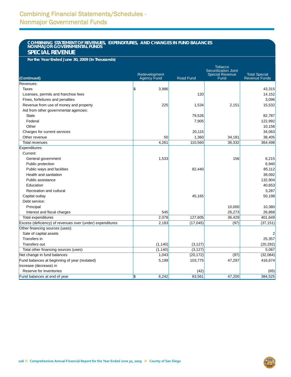| <b>SPECIAL REVENUE</b> |
|------------------------|
|------------------------|

| For the Year Ended June 30, 2009 (In Thousands)           |                              |                  |                                                                                 |                                              |
|-----------------------------------------------------------|------------------------------|------------------|---------------------------------------------------------------------------------|----------------------------------------------|
| (Continued)                                               | Redevelopment<br>Agency Fund | <b>Road Fund</b> | <b>Tobacco</b><br><b>Securitization Joint</b><br><b>Special Revenue</b><br>Fund | <b>Total Special</b><br><b>Revenue Funds</b> |
| Revenues:                                                 |                              |                  |                                                                                 |                                              |
| Taxes                                                     | $\boldsymbol{s}$<br>3,986    |                  |                                                                                 | 43,315                                       |
| Licenses, permits and franchise fees                      |                              | 120              |                                                                                 | 14,152                                       |
| Fines, forfeitures and penalties                          |                              |                  |                                                                                 | 3,096                                        |
| Revenue from use of money and property                    | 225                          | 1,534            | 2.151                                                                           | 15,532                                       |
| Aid from other governmental agencies:                     |                              |                  |                                                                                 |                                              |
| <b>State</b>                                              |                              | 79,526           |                                                                                 | 82,787                                       |
| Federal                                                   |                              | 7,905            |                                                                                 | 122,992                                      |
| Other                                                     |                              |                  |                                                                                 | 10,156                                       |
| Charges for current services                              |                              | 20,115           |                                                                                 | 34,063                                       |
| Other revenue                                             | 50                           | 1,360            | 34,181                                                                          | 38,405                                       |
| <b>Total revenues</b>                                     | 4,261                        | 110,560          | 36,332                                                                          | 364,498                                      |
| Expenditures:                                             |                              |                  |                                                                                 |                                              |
| Current:                                                  |                              |                  |                                                                                 |                                              |
| General government                                        | 1,533                        |                  | 156                                                                             | 6,215                                        |
| Public protection                                         |                              |                  |                                                                                 | 6,940                                        |
| Public ways and facilities                                |                              | 82,440           |                                                                                 | 85,112                                       |
| Health and sanitation                                     |                              |                  |                                                                                 | 39,092                                       |
| Public assistance                                         |                              |                  |                                                                                 | 132,904                                      |
| Education                                                 |                              |                  |                                                                                 | 40,653                                       |
| Recreation and cultural                                   |                              |                  |                                                                                 | 3,287                                        |
| Capital outlay                                            |                              | 45,165           |                                                                                 | 50,198                                       |
| Debt service:                                             |                              |                  |                                                                                 |                                              |
| Principal                                                 |                              |                  | 10,000                                                                          | 10,380                                       |
| Interest and fiscal charges                               | 545                          |                  | 26,273                                                                          | 26,868                                       |
| Total expenditures                                        | 2,078                        | 127,605          | 36,429                                                                          | 401,649                                      |
| Excess (deficiency) of revenues over (under) expenditures | 2,183                        | (17, 045)        | (97)                                                                            | (37, 151)                                    |
| Other financing sources (uses):                           |                              |                  |                                                                                 |                                              |
| Sale of capital assets                                    |                              |                  |                                                                                 |                                              |
| Transfers in                                              |                              |                  |                                                                                 | 25,357                                       |
| Transfers out                                             | (1, 140)                     | (3, 127)         |                                                                                 | (20, 292)                                    |
| Total other financing sources (uses)                      | (1, 140)                     | (3, 127)         |                                                                                 | 5,067                                        |
| Net change in fund balances                               | 1,043                        | (20, 172)        | (97)                                                                            | (32,084)                                     |
| Fund balances at beginning of year (restated)             | 5,199                        | 103,775          | 47,297                                                                          | 416,674                                      |
| Increase (decrease) in                                    |                              |                  |                                                                                 |                                              |
| Reserve for inventories                                   |                              | (42)             |                                                                                 | (65)                                         |
| Fund balances at end of year                              | S.<br>6,242                  | 83,561           | 47,200                                                                          | 384,525                                      |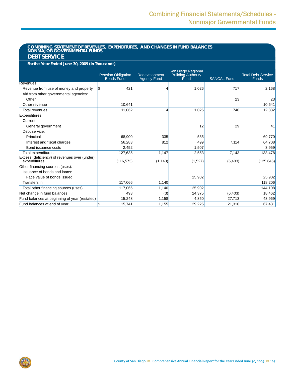| For the Year Ended June 30, 2009 (In Thousands) |  |  |
|-------------------------------------------------|--|--|
|-------------------------------------------------|--|--|

|                                                              | <b>Pension Obligation</b><br><b>Bonds Fund</b> | Redevelopment<br><b>Agency Fund</b> | San Diego Regional<br><b>Building Authority</b><br>Fund | <b>SANCAL Fund</b> | <b>Total Debt Service</b><br><b>Funds</b> |
|--------------------------------------------------------------|------------------------------------------------|-------------------------------------|---------------------------------------------------------|--------------------|-------------------------------------------|
| Revenues:                                                    |                                                |                                     |                                                         |                    |                                           |
| Revenue from use of money and property                       | 1\$<br>421                                     |                                     | 1,026                                                   | 717                | 2,168                                     |
| Aid from other governmental agencies:                        |                                                |                                     |                                                         |                    |                                           |
| Other                                                        |                                                |                                     |                                                         | 23                 | 23                                        |
| Other revenue                                                | 10.641                                         |                                     |                                                         |                    | 10,641                                    |
| <b>Total revenues</b>                                        | 11,062                                         | 4                                   | 1,026                                                   | 740                | 12,832                                    |
| Expenditures:                                                |                                                |                                     |                                                         |                    |                                           |
| Current:                                                     |                                                |                                     |                                                         |                    |                                           |
| General government                                           |                                                |                                     | 12                                                      | 29                 | 41                                        |
| Debt service:                                                |                                                |                                     |                                                         |                    |                                           |
| Principal                                                    | 68,900                                         | 335                                 | 535                                                     |                    | 69,770                                    |
| Interest and fiscal charges                                  | 56,283                                         | 812                                 | 499                                                     | 7,114              | 64,708                                    |
| Bond issuance costs                                          | 2.452                                          |                                     | 1,507                                                   |                    | 3,959                                     |
| Total expenditures                                           | 127,635                                        | 1,147                               | 2,553                                                   | 7,143              | 138,478                                   |
| Excess (deficiency) of revenues over (under)<br>expenditures | (116, 573)                                     | (1, 143)                            | (1,527)                                                 | (6, 403)           | (125, 646)                                |
| Other financing sources (uses):                              |                                                |                                     |                                                         |                    |                                           |
| Issuance of bonds and loans:                                 |                                                |                                     |                                                         |                    |                                           |
| Face value of bonds issued                                   |                                                |                                     | 25,902                                                  |                    | 25,902                                    |
| Transfers in                                                 | 117,066                                        | 1,140                               |                                                         |                    | 118,206                                   |
| Total other financing sources (uses)                         | 117,066                                        | 1,140                               | 25,902                                                  |                    | 144,108                                   |
| Net change in fund balances                                  | 493                                            | (3)                                 | 24,375                                                  | (6, 403)           | 18,462                                    |
| Fund balances at beginning of year (restated)                | 15,248                                         | 1,158                               | 4,850                                                   | 27,713             | 48,969                                    |
| Fund balances at end of year                                 | S)<br>15,741                                   | 1,155                               | 29,225                                                  | 21,310             | 67,431                                    |

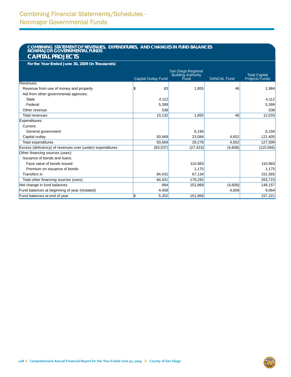**For the Year Ended June 30, 2009 (In Thousands)**

| Todi Endoa sano coj Ecos (in moasanas)                    |                            |                                                 |                    |                       |
|-----------------------------------------------------------|----------------------------|-------------------------------------------------|--------------------|-----------------------|
|                                                           |                            | San Diego Regional<br><b>Building Authority</b> |                    | <b>Total Capital</b>  |
|                                                           | <b>Capital Outlay Fund</b> | Fund                                            | <b>SANCAL Fund</b> | <b>Projects Funds</b> |
| Revenues:                                                 |                            |                                                 |                    |                       |
| Revenue from use of money and property                    | 83<br>ß.                   | 1,855                                           | 46                 | 1,984                 |
| Aid from other governmental agencies:                     |                            |                                                 |                    |                       |
| <b>State</b>                                              | 4,112                      |                                                 |                    | 4,112                 |
| Federal                                                   | 5,399                      |                                                 |                    | 5,399                 |
| Other revenue                                             | 538                        |                                                 |                    | 538                   |
| Total revenues                                            | 10,132                     | 1,855                                           | 46                 | 12,033                |
| Expenditures:                                             |                            |                                                 |                    |                       |
| Current:                                                  |                            |                                                 |                    |                       |
| General government                                        |                            | 6,194                                           |                    | 6,194                 |
| Capital outlay                                            | 93,669                     | 23,084                                          | 4,652              | 121,405               |
| Total expenditures                                        | 93,669                     | 29,278                                          | 4,652              | 127,599               |
| Excess (deficiency) of revenues over (under) expenditures | (83, 537)                  | (27, 423)                                       | (4,606)            | (115, 566)            |
| Other financing sources (uses):                           |                            |                                                 |                    |                       |
| Issuance of bonds and loans:                              |                            |                                                 |                    |                       |
| Face value of bonds issued                                |                            | 110,983                                         |                    | 110,983               |
| Premium on issuance of bonds                              |                            | 1,175                                           |                    | 1,175                 |
| Transfers in                                              | 84.431                     | 67,134                                          |                    | 151,565               |
| Total other financing sources (uses)                      | 84,431                     | 179,292                                         |                    | 263,723               |
| Net change in fund balances                               | 894                        | 151,869                                         | (4,606)            | 148,157               |
| Fund balances at beginning of year (restated)             | 4,458                      |                                                 | 4,606              | 9,064                 |
| Fund balances at end of year                              | S.<br>5,352                | 151,869                                         |                    | 157,221               |

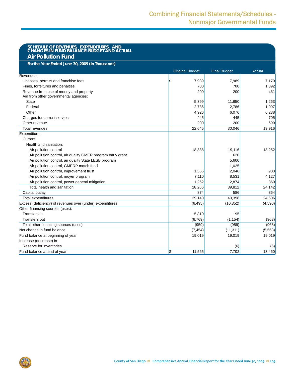#### **SCHEDULE OF REVENUES, EXPENDITURES, AND CHANGES IN FUND BALANCE-BUDGET AND ACTUAL Air Pollution Fund For the Year Ended June 30, 2009 (In Thousands)** Original Budget Final Budget Actual Revenues: Licenses, permits and franchise fees  $\begin{array}{ccc} 3 & 7,989 & 7,989 \end{array}$  7,170 Fines, forfeitures and penalties **700** 1,392 Revenue from use of money and property 200 200 461 Aid from other governmental agencies: State 5,399 11,650 1,263  $F$ ederal 2,786 2,786 2,786 2,786 2,786 2,786 2,786 2,786 2,786 2,786 2,1997 Other 4,926 6,076 6,238 Charges for current services 445 445 705 Other revenue 200 200 690 Total revenues  $22,645$   $30,046$   $19,916$ Expenditures: Current: Health and sanitation: Air pollution control 18,252 19,116 18,252 Air pollution control, air quality GMER program early grant 620 and 620 Air pollution control, air quality State LESB program 5,600 and 5,600 and 5,600 and 5,600 and 5,600 and 5,600 and 5,600 and 5,600 and 5,600 and 5,600 and 5,600 and 5,600 and 5,600 and 5,600 and 5,600 and 5,600 and 5,600 an Air pollution control, GMERP match fund 1,025 Air pollution control, improvement trust 1,556 2,046 2,046 903 Air pollution control, moyer program example and the set of the set of the set of the set of the set of the set of the set of the set of the set of the set of the set of the set of the set of the set of the set of the set Air pollution control, power general mitigation 1,262 2,874 860 Total health and sanitation 24,142 **28,266** 39,812 24,142  $\textsf{Capital outlay} \quad \textcolor{blue}{\mathsf{364}} \quad \textcolor{blue}{\mathsf{364}}$ Total expenditures 29,140 40,398 24,506 Excess (deficiency) of revenues over (under) expenditures (6,495) (6,495) (10,352) (4,590) Other financing sources (uses): Transfers in the contract of the contract of the contract of the contract of the contract of the contract of the contract of the contract of the contract of the contract of the contract of the contract of the contract of t Transfers out (6,769) (1,154) (963) Total other financing sources (uses) (953) (963) (959) (963) Net change in fund balance (7,454) (11,311) (5,553) Fund balance at beginning of year 19,019 19,019 19,019 19,019 19,019 19,019 19,019 19,019 19,019 19,019 19,019 Increase (decrease) in Reserve for inventories  $(6)$  (6) (6) Fund balance at end of year **11,565** 7.702 13,460

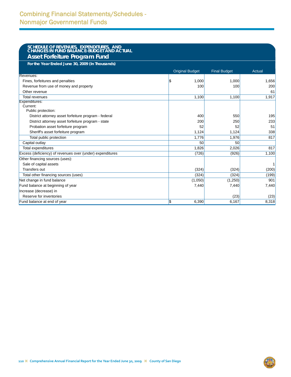## **SCHEDULE OF REVENUES, EXPENDITURES, AND CHANGES IN FUND BALANCE-BUDGET AND ACTUAL Asset Forfeiture Program Fund**

| For the Year Ended June 30, 2009 (In Thousands)           |                        |         |                     |        |
|-----------------------------------------------------------|------------------------|---------|---------------------|--------|
|                                                           | <b>Original Budget</b> |         | <b>Final Budget</b> | Actual |
| Revenues:                                                 |                        |         |                     |        |
| Fines, forfeitures and penalties                          | l\$                    | 1,000   | 1,000               | 1,656  |
| Revenue from use of money and property                    |                        | 100     | 100                 | 200    |
| Other revenue                                             |                        |         |                     | 61     |
| Total revenues                                            |                        | 1,100   | 1,100               | 1,917  |
| Expenditures:                                             |                        |         |                     |        |
| Current:                                                  |                        |         |                     |        |
| Public protection:                                        |                        |         |                     |        |
| District attorney asset forfeiture program - federal      |                        | 400     | 550                 | 195    |
| District attorney asset forfeiture program - state        |                        | 200     | 250                 | 233    |
| Probation asset forfeiture program                        |                        | 52      | 52                  | 51     |
| Sheriff's asset forfeiture program                        |                        | 1,124   | 1,124               | 338    |
| Total public protection                                   |                        | 1,776   | 1,976               | 817    |
| Capital outlay                                            |                        | 50      | 50                  |        |
| Total expenditures                                        |                        | 1,826   | 2,026               | 817    |
| Excess (deficiency) of revenues over (under) expenditures |                        | (726)   | (926)               | 1,100  |
| Other financing sources (uses):                           |                        |         |                     |        |
| Sale of capital assets                                    |                        |         |                     |        |
| <b>Transfers out</b>                                      |                        | (324)   | (324)               | (200)  |
| Total other financing sources (uses)                      |                        | (324)   | (324)               | (199)  |
| Net change in fund balance                                |                        | (1,050) | (1,250)             | 901    |
| Fund balance at beginning of year                         |                        | 7,440   | 7,440               | 7,440  |
| Increase (decrease) in                                    |                        |         |                     |        |
| Reserve for inventories                                   |                        |         | (23)                | (23)   |
| Fund balance at end of year                               | $\frac{1}{2}$          | 6,390   | 6,167               | 8,318  |

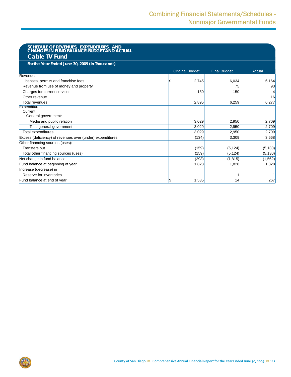## **SCHEDULE OF REVENUES, EXPENDITURES, AND CHANGES IN FUND BALANCE-BUDGET AND ACTUAL Cable TV Fund**

| <b>UUULLET LUILL</b>                                      |                        |                     |          |
|-----------------------------------------------------------|------------------------|---------------------|----------|
| For the Year Ended June 30, 2009 (In Thousands)           |                        |                     |          |
|                                                           | <b>Original Budget</b> | <b>Final Budget</b> | Actual   |
| Revenues:                                                 |                        |                     |          |
| Licenses, permits and franchise fees                      | 2,745                  | 6,034               | 6,164    |
| Revenue from use of money and property                    |                        | 75                  | 93       |
| Charges for current services                              | 150                    | 150                 |          |
| Other revenue                                             |                        |                     | 16       |
| Total revenues                                            | 2,895                  | 6,259               | 6,277    |
| Expenditures:                                             |                        |                     |          |
| Current:                                                  |                        |                     |          |
| General government:                                       |                        |                     |          |
| Media and public relation                                 | 3,029                  | 2,950               | 2,709    |
| Total general government                                  | 3,029                  | 2,950               | 2,709    |
| Total expenditures                                        | 3,029                  | 2,950               | 2,709    |
| Excess (deficiency) of revenues over (under) expenditures | (134)                  | 3,309               | 3,568    |
| Other financing sources (uses):                           |                        |                     |          |
| Transfers out                                             | (159)                  | (5, 124)            | (5, 130) |
| Total other financing sources (uses)                      | (159)                  | (5, 124)            | (5, 130) |
| Net change in fund balance                                | (293)                  | (1, 815)            | (1, 562) |
| Fund balance at beginning of year                         | 1,828                  | 1,828               | 1,828    |
| Increase (decrease) in                                    |                        |                     |          |
| Reserve for inventories                                   |                        |                     |          |
| Fund balance at end of year                               | \$<br>1,535            | 14                  | 267      |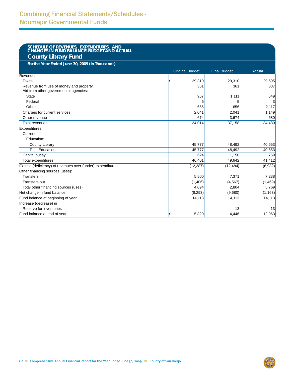## **SCHEDULE OF REVENUES, EXPENDITURES, AND CHANGES IN FUND BALANCE-BUDGET AND ACTUAL County Library Fund**

| For the Year Ended June 30, 2009 (In Thousands)           |                        |                     |          |
|-----------------------------------------------------------|------------------------|---------------------|----------|
|                                                           | <b>Original Budget</b> | <b>Final Budget</b> | Actual   |
| Revenues:                                                 |                        |                     |          |
| Taxes                                                     | 29,310                 | 29,310              | 29,595   |
| Revenue from use of money and property                    | 361                    | 361                 | 387      |
| Aid from other governmental agencies:                     |                        |                     |          |
| <b>State</b>                                              | 967                    | 1,111               | 549      |
| Federal                                                   |                        |                     | 3        |
| Other                                                     | 656                    | 656                 | 2,117    |
| Charges for current services                              | 2,041                  | 2,041               | 1,149    |
| Other revenue                                             | 674                    | 3,674               | 680      |
| <b>Total revenues</b>                                     | 34,014                 | 37,158              | 34,480   |
| Expenditures:                                             |                        |                     |          |
| Current:                                                  |                        |                     |          |
| Education:                                                |                        |                     |          |
| County Library                                            | 45,777                 | 48,492              | 40,653   |
| <b>Total Education</b>                                    | 45.777                 | 48,492              | 40,653   |
| Capital outlay                                            | 624                    | 1,150               | 759      |
| Total expenditures                                        | 46.401                 | 49.642              | 41,412   |
| Excess (deficiency) of revenues over (under) expenditures | (12, 387)              | (12, 484)           | (6,932)  |
| Other financing sources (uses):                           |                        |                     |          |
| Transfers in                                              | 5,500                  | 7,371               | 7,238    |
| Transfers out                                             | (1,406)                | (4, 567)            | (1, 469) |
| Total other financing sources (uses)                      | 4,094                  | 2,804               | 5,769    |
| Net change in fund balance                                | (8, 293)               | (9,680)             | (1, 163) |
| Fund balance at beginning of year                         | 14,113                 | 14,113              | 14, 113  |
| Increase (decrease) in                                    |                        |                     |          |
| Reserve for inventories                                   |                        | 13                  | 13       |
| Fund balance at end of year                               | \$<br>5,820            | 4,446               | 12,963   |

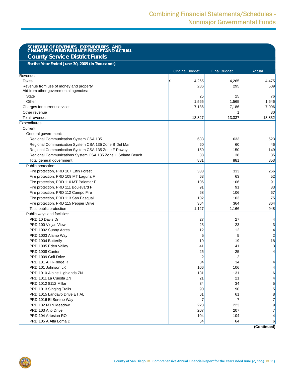#### **SCHEDULE OF REVENUES, EXPENDITURES, AND CHANGES IN FUND BALANCE-BUDGET AND ACTUAL County Service District Funds For the Year Ended June 30, 2009 (In Thousands)** Original Budget Final Budget Actual Revenues: Taxes  $\sim$  4,265 4,265 4,265 4,265 4,265 4,265 4,475 Revenue from use of money and property **286** 295 295 Aid from other governmental agencies: State  $25\vert$  25  $25\vert$  25  $25\vert$  25  $25\vert$  25  $25\vert$  25  $25\vert$  25  $25\vert$  25  $25\vert$ Other 1,565 1,565 1,646 Charges for current services **7,096** 7,096 7,186 7,186 7,186 7,186 7,186 7,096 Other revenue 1 30 Total revenues 13,327 13,337 13,832 Expenditures: Current: General government: Regional Communication System CSA 135 623 633 633 Regional Communication System CSA 135 Zone B Del Mar 60 60 60 60 60 60 60 60 46 Regional Communication System CSA 135 Zone F Poway 150 150 150 150 150 150 150 150 150 149 Regional Communications System CSA 135 Zone H Solana Beach 38 35 35 Total general government 881 853 Public protection: Fire protection, PRD 107 Elfin Forest 333 333 333 333 Fire protection, PRD 109 MT Laguna F 63 63 52 Fire protection, PRD 110 MT Palomar F 106 106 201 106 106 106 106 106 106 106 106 106 91 Fire protection, PRD 111 Boulevard F 633 Fire protection, PRD 112 Campo Fire 67 106 **68** 106 **67** 106 **67** 106 **67** Fire protection, PRD 113 San Pasqual 103 2 103 103 103 103 103 103 103 103 104 103 105 Fire protection, PRD 115 Pepper Drive 364 364 364 364 Total public protection and the set of the set of the set of the set of the set of the set of the set of the set of the set of the set of the set of the set of the set of the set of the set of the set of the set of the set Public ways and facilities: PRD 10 Davis Dr 27 27 4 PRD 100 Viejas View 23 23 3 PRD 1002 Sunny Acres 12 12 4 PRD 1003 Alamo Way  $5\begin{pmatrix} 5 & 5 \end{pmatrix}$   $5\begin{pmatrix} 2 & 2 \end{pmatrix}$ PRD 1004 Butterfly 18 18 PRD 1005 Eden Valley 3 and 2008 and 2009 and 2009 and 2009 and 2009 and 2009 and 2009 and 2009 and 2009 and 20 PRD 1008 Canter 25 25 4 PRD 1009 Golf Drive 2 2 PRD 101 A Hi-Ridge R 34 34 4 PRD 101 Johnson LK 106 2012 106 2022 106 2022 106 2022 106 2022 106 2022 106 2022 106 2022 106 2022 106 2022 1 PRD 1010 Alpine Highlands ZN 131 131 6 PRD 1011 La Cuesta ZN 21 21 21 22 21 22 21 22 21 22 21 22 21 22 21 22 21 22 21 22 21 22 21 22 21 22 21 22 21 22 21 22 21 22 21 22 21 22 21 22 21 22 21 22 21 22 21 22 21 22 21 22 21 22 21 22 21 22 21 22 21 22 21 22 21 22 21 PRD 1012 8112 Millar 5 PRD 1013 Singing Trails 6 and the set of the set of the set of the set of the set of the set of the set of the set of the set of the set of the set of the set of the set of the set of the set of the set of the set of the s PRD 1015 Landavo Drive ET AL 61 8 PRD 1016 El Sereno Way 7 7 7 PRD 102 MTN Meadow 223 223 9 PRD 103 Alto Drive 207 207 7 PRD 104 Artesian RO 104 104 2004 104 2004 104 2004 104 2004 104 2004 104 2004 104 2004 104 2004 104 2004 104 2004 104 2004 104 2004 104 2004 104 2004 105 2004 105 2004 105 2004 105 2004 105 2004 105 2004 105 2004 105 2004

PRD 105 A Alta Loma D 64 64 6

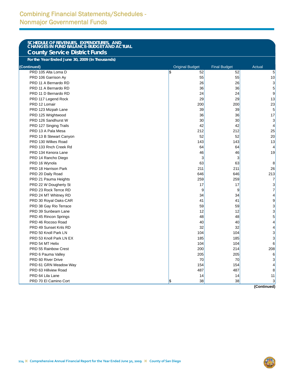## **SCHEDULE OF REVENUES, EXPENDITURES, AND CHANGES IN FUND BALANCE-BUDGET AND ACTUAL County Service District Funds**

**For the Year Ended June 30, 2009 (In Thousands)**

| (Continued)             | <b>Original Budget</b> | <b>Final Budget</b> | Actual          |
|-------------------------|------------------------|---------------------|-----------------|
| PRD 105 Alta Loma D     | 52<br>l\$              | 52                  | 5               |
| PRD 106 Garrison Ay     | 55                     | 55                  | 10              |
| PRD 11 A Bernardo RD    | 26                     | 26                  | 3               |
| PRD 11 A Bernardo RD    | 36                     | 36                  | 5               |
| PRD 11 D Bernardo RD    | 24                     | 24                  | 9               |
| PRD 117 Legend Rock     | 29                     | 29                  | 13              |
| PRD 12 Lomair           | 200                    | 200                 | 23              |
| PRD 123 Mizpah Lane     | 39                     | 39                  | 5               |
| PRD 125 Wrightwood      | 36                     | 36                  | 17              |
| PRD 126 Sandhurst W     | 30                     | 30                  | 3               |
| PRD 127 Singing Trails  | 42                     | 42                  | $\overline{4}$  |
| PRD 13 A Pala Mesa      | 212                    | 212                 | 25              |
| PRD 13 B Stewart Canyon | 52                     | 52                  | 20 <sub>l</sub> |
| PRD 130 Wilkes Road     | 143                    | 143                 | 13              |
| PRD 133 Rnch Creek Rd   | 64                     | 64                  | $\overline{4}$  |
| PRD 134 Kenora Lane     | 46                     | 46                  | 19              |
| PRD 14 Rancho Diego     | 3                      | 3                   |                 |
| PRD 16 Wynola           | 63                     | 63                  | 8               |
| PRD 18 Harrison Park    | 211                    | 211                 | 26              |
| PRD 20 Daily Road       | 646                    | 646                 | 213             |
| PRD 21 Pauma Heights    | 259                    | 259                 | $\overline{7}$  |
| PRD 22 W Dougherty St   | 17                     | 17                  | 3               |
| PRD 23 Rock Terrce RD   | 9                      | 9                   | $\overline{7}$  |
| PRD 24 MT Whitney RD    | 34                     | 34                  | 4               |
| PRD 30 Royal Oaks-CAR   | 41                     | 41                  | 9               |
| PRD 38 Gay Rio Terrace  | 59                     | 59                  | 3               |
| PRD 39 Sunbeam Lane     | 12                     | 12                  | 3               |
| PRD 45 Rincon Springs   | 48                     | 48                  | 5               |
| PRD 46 Rocoso Road      | 40                     | 40                  | 4               |
| PRD 49 Sunset Knls RD   | 32                     | 32                  | 4               |
| PRD 50 Knoll Park LN    | 104                    | 104                 | 3               |
| PRD 53 Knoll Park LN EX | 185                    | 185                 | 3               |
| PRD 54 MT Helix         | 104                    | 104                 | 6               |
| PRD 55 Rainbow Crest    | 200                    | 214                 | 208             |
| PRD 6 Pauma Valley      | 205                    | 205                 | 6               |
| PRD 60 River Drive      | 70                     | 70                  | 3               |
| PRD 61 GRN Meadow Way   | 154                    | 154                 | 4               |
| PRD 63 Hillview Road    | 487                    | 487                 | 8               |
| PRD 64 Lila Lane        | 14                     | 14                  | 11              |
| PRD 70 El Camino Cort   | \$<br>38               | 38                  | 3               |

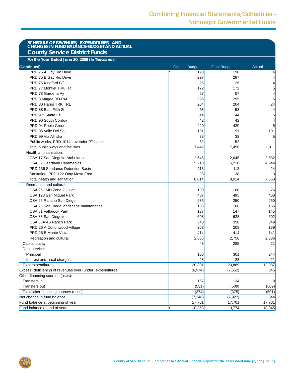## **SCHEDULE OF REVENUES, EXPENDITURES, AND CHANGES IN FUND BALANCE-BUDGET AND ACTUAL County Service District Funds**

**For the Year Ended June 30, 2009 (In Thousands)**

| (Continued)                                               | <b>Original Budget</b>             | <b>Final Budget</b> | Actual           |
|-----------------------------------------------------------|------------------------------------|---------------------|------------------|
| PRD 75 A Gay Rio Drive                                    | l\$<br>190                         | 190                 | 4                |
| PRD 75 B Gay Rio Drive                                    | 297                                | 297                 | 4                |
| PRD 76 Kingford CT                                        | 25                                 | 25                  | 4                |
| PRD 77 Montiel TRK TR                                     | 172                                | 172                 | 5                |
| PRD 78 Gardena Av                                         | 57                                 | 57                  | 4                |
| PRD 8 Magee RD-PAL                                        | 295                                | 295                 | 6                |
| PRD 80 Harris TRK TRL                                     | 204                                | 204                 | 24               |
| PRD 88 East Fifth St                                      | 58                                 | 58                  | $\vert 4 \vert$  |
| PRD 9 B Santa Fe                                          | 44                                 | 44                  | $\overline{5}$   |
| PRD 90 South Cordov                                       | 42                                 | 42                  | $\vert 4 \vert$  |
| PRD 94 Roble Grnde                                        | 420                                | 420                 | 5 <sup>5</sup>   |
| PRD 95 Valle Del Sol                                      | 191                                | 191                 | 101              |
| PRD 99 Via Allndra                                        | 38                                 | 38                  | 5                |
| Public works, PRD 1014 Lavender PT Lane                   | 52                                 | 52                  |                  |
| Total public ways and facilities                          | 7,442                              | 7,456               | 1,011            |
| Health and sanitation:                                    |                                    |                     |                  |
| CSA 17 San Dieguito Ambulance                             | 2,645                              | 2,645               | 2,582            |
| CSA 69 Heartland Paramedics                               | 5,218                              | 5,218               | 4,944            |
| PRD 136 Sundance Detention Basin                          | 113                                | 113                 | 24               |
| Sanitation, PRD 122 Otay Mesa East                        | 38                                 | 38                  | $\overline{3}$   |
| Total health and sanitation                               | 8,014                              | 8,014               | 7,553            |
| Recreation and cultural:                                  |                                    |                     |                  |
| CSA 26 LMD Zone 2 Julian                                  | 100                                | 100                 | 76               |
| CSA 128 San Miguel Park                                   | 487                                | 495                 | 468              |
| CSA 26 Rancho San Diego                                   | 235                                | 250                 | 250              |
| CSA 26 San Diego landscape maintenance                    | 136                                | 166                 | 166              |
| CSA 81 Fallbrook Park                                     | 137                                | 147                 | 145              |
| CSA 83 San Dieguito                                       | 598                                | 628                 | 602              |
| CSA 83A 4S Ranch Park                                     | 340                                | 350                 | 349              |
| PRD 26 A Cottonwood Village                               | 208                                | 208                 | 139              |
| PRD 26 B Monte Vista                                      | 414                                | 414                 | 141              |
| Recreation and cultural:                                  | 2,655                              | 2,758               | 2,336            |
| Capital outlay                                            | 48                                 | 285                 | 21               |
| Debt service:                                             |                                    |                     |                  |
| Principal                                                 | 106                                | 301                 | 244              |
| Interest and fiscal charges                               | 28                                 | 28                  | 21               |
| Total expenditures                                        | 20,301                             | 20,889              | 12,987           |
| Excess (deficiency) of revenues over (under) expenditures | (6, 974)                           | (7, 552)            | 845              |
| Other financing sources (uses):                           |                                    |                     |                  |
| Transfers in                                              | 157                                | 134                 | $\boldsymbol{8}$ |
| Transfers out                                             | (531)                              | (509)               | (509)            |
| Total other financing sources (uses)                      | (374)                              | (375)               | (501)            |
| Net change in fund balance                                | (7, 348)                           | (7, 927)            | 344              |
| Fund balance at beginning of year                         | 17,701                             | 17,701              | 17,701           |
| Fund balance at end of year                               | $\overline{\mathcal{E}}$<br>10,353 | 9,774               | 18,045           |

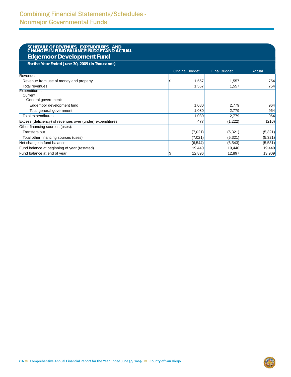## **SCHEDULE OF REVENUES, EXPENDITURES, AND CHANGES IN FUND BALANCE-BUDGET AND ACTUAL Edgemoor Development Fund**

| For the Year Ended June 30, 2009 (In Thousands)           |                        |                     |         |
|-----------------------------------------------------------|------------------------|---------------------|---------|
|                                                           | <b>Original Budget</b> | <b>Final Budget</b> | Actual  |
| Revenues:                                                 |                        |                     |         |
| Revenue from use of money and property                    | 1,557                  | 1,557               | 754     |
| Total revenues                                            | 1,557                  | 1,557               | 754     |
| Expenditures:                                             |                        |                     |         |
| Current:                                                  |                        |                     |         |
| General government:                                       |                        |                     |         |
| Edgemoor development fund                                 | 1,080                  | 2,779               | 964     |
| Total general government                                  | 1,080                  | 2,779               | 964     |
| Total expenditures                                        | 1,080                  | 2,779               | 964     |
| Excess (deficiency) of revenues over (under) expenditures | 477                    | (1,222)             | (210)   |
| Other financing sources (uses):                           |                        |                     |         |
| Transfers out                                             | (7,021)                | (5,321)             | (5,321) |
| Total other financing sources (uses)                      | (7,021)                | (5,321)             | (5,321) |
| Net change in fund balance                                | (6, 544)               | (6, 543)            | (5,531) |
| Fund balance at beginning of year (restated)              | 19,440                 | 19,440              | 19,440  |
| Fund balance at end of year                               | \$<br>12,896           | 12,897              | 13,909  |

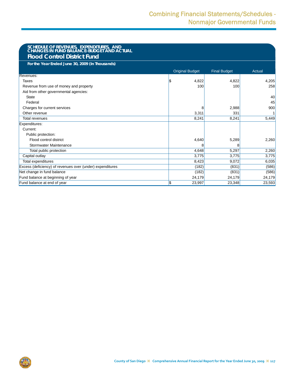## **SCHEDULE OF REVENUES, EXPENDITURES, AND CHANGES IN FUND BALANCE-BUDGET AND ACTUAL Flood Control District Fund**

| For the Year Ended June 30, 2009 (In Thousands)           |                        |                     |        |
|-----------------------------------------------------------|------------------------|---------------------|--------|
|                                                           | <b>Original Budget</b> | <b>Final Budget</b> | Actual |
| Revenues:                                                 |                        |                     |        |
| <b>Taxes</b>                                              | 4,822                  | 4,822               | 4,205  |
| Revenue from use of money and property                    | 100                    | 100                 | 258    |
| Aid from other governmental agencies:                     |                        |                     |        |
| <b>State</b>                                              |                        |                     | 40     |
| Federal                                                   |                        |                     | 45     |
| Charges for current services                              | 8                      | 2,988               | 900    |
| Other revenue                                             | 3,311                  | 331                 |        |
| Total revenues                                            | 8,241                  | 8,241               | 5,449  |
| Expenditures:                                             |                        |                     |        |
| Current:                                                  |                        |                     |        |
| Public protection:                                        |                        |                     |        |
| Flood control district                                    | 4,640                  | 5,289               | 2,260  |
| Stormwater Maintenance                                    | 8                      | 8                   |        |
| Total public protection                                   | 4,648                  | 5,297               | 2,260  |
| Capital outlay                                            | 3,775                  | 3,775               | 3,775  |
| Total expenditures                                        | 8,423                  | 9,072               | 6,035  |
| Excess (deficiency) of revenues over (under) expenditures | (182)                  | (831)               | (586)  |
| Net change in fund balance                                | (182)                  | (831)               | (586)  |
| Fund balance at beginning of year                         | 24,179                 | 24,179              | 24,179 |
| Fund balance at end of year                               | \$<br>23,997           | 23,348              | 23,593 |

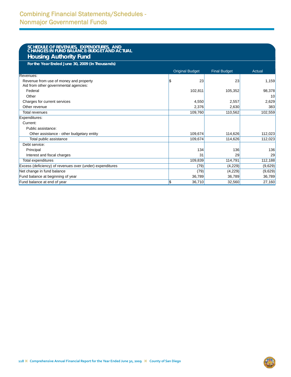## **SCHEDULE OF REVENUES, EXPENDITURES, AND CHANGES IN FUND BALANCE-BUDGET AND ACTUAL Housing Authority Fund**

| For the Year Ended June 30, 2009 (In Thousands)           |                        |                     |         |
|-----------------------------------------------------------|------------------------|---------------------|---------|
|                                                           | <b>Original Budget</b> | <b>Final Budget</b> | Actual  |
| Revenues:                                                 |                        |                     |         |
| Revenue from use of money and property                    | 23                     | 23                  | 1,159   |
| Aid from other governmental agencies:                     |                        |                     |         |
| Federal                                                   | 102,811                | 105,352             | 98,378  |
| Other                                                     |                        |                     | 10      |
| Charges for current services                              | 4,550                  | 2,557               | 2,629   |
| Other revenue                                             | 2,376                  | 2,630               | 383     |
| Total revenues                                            | 109,760                | 110,562             | 102,559 |
| Expenditures:                                             |                        |                     |         |
| Current:                                                  |                        |                     |         |
| Public assistance:                                        |                        |                     |         |
| Other assistance - other budgetary entity                 | 109,674                | 114,626             | 112,023 |
| Total public assistance                                   | 109,674                | 114,626             | 112,023 |
| Debt service:                                             |                        |                     |         |
| Principal                                                 | 134                    | 136                 | 136     |
| Interest and fiscal charges                               | 31                     | 29                  | 29      |
| Total expenditures                                        | 109,839                | 114,791             | 112,188 |
| Excess (deficiency) of revenues over (under) expenditures | (79)                   | (4,229)             | (9,629) |
| Net change in fund balance                                | (79)                   | (4,229)             | (9,629) |
| Fund balance at beginning of year                         | 36,789                 | 36,789              | 36,789  |
| Fund balance at end of year                               | \$<br>36,710           | 32,560              | 27,160  |

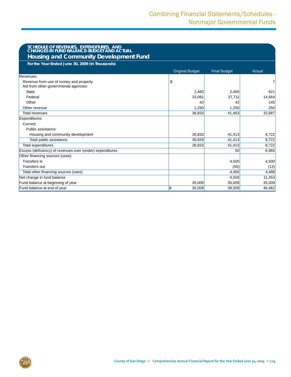## **SCHEDULE OF REVENUES, EXPENDITURES, AND CHANGES IN FUND BALANCE-BUDGET AND ACTUAL Housing and Community Development Fund**

| For the Year Ended June 30, 2009 (In Thousands)                                 |                        |                     |        |
|---------------------------------------------------------------------------------|------------------------|---------------------|--------|
|                                                                                 | <b>Original Budget</b> | <b>Final Budget</b> | Actual |
| Revenues:                                                                       |                        |                     |        |
| Revenue from use of money and property<br>Aid from other governmental agencies: | \$                     |                     |        |
| <b>State</b>                                                                    | 2,460                  | 2,460               | 621    |
| Federal                                                                         | 33,081                 | 37,711              | 14,664 |
| Other                                                                           | 42                     | 42                  | 145    |
| Other revenue                                                                   | 1,250                  | 1,250               | 250    |
| Total revenues                                                                  | 36,833                 | 41,463              | 15,687 |
| Expenditures:                                                                   |                        |                     |        |
| Current:                                                                        |                        |                     |        |
| Public assistance:                                                              |                        |                     |        |
| Housing and community development                                               | 36,833                 | 41,413              | 8,722  |
| Total public assistance                                                         | 36,833                 | 41,413              | 8,722  |
| Total expenditures                                                              | 36,833                 | 41,413              | 8,722  |
| Excess (deficiency) of revenues over (under) expenditures                       |                        | 50                  | 6,965  |
| Other financing sources (uses):                                                 |                        |                     |        |
| Transfers in                                                                    |                        | 4,500               | 4,500  |
| <b>Transfers out</b>                                                            |                        | (50)                | (12)   |
| Total other financing sources (uses)                                            |                        | 4,450               | 4,488  |
| Net change in fund balance                                                      |                        | 4,500               | 11,453 |
| Fund balance at beginning of year                                               | 35,009                 | 35,009              | 35,009 |
| Fund balance at end of year                                                     | \$<br>35,009           | 39,509              | 46,462 |

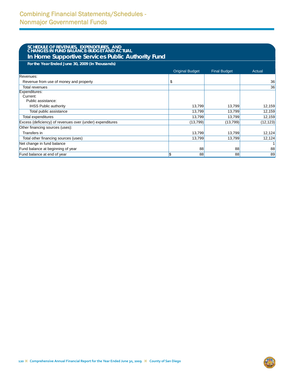## **SCHEDULE OF REVENUES, EXPENDITURES, AND CHANGES IN FUND BALANCE-BUDGET AND ACTUAL In Home Supportive Services Public Authority Fund**

| For the Year Ended June 30, 2009 (In Thousands)           |                                |                     |           |  |
|-----------------------------------------------------------|--------------------------------|---------------------|-----------|--|
|                                                           | <b>Original Budget</b>         | <b>Final Budget</b> | Actual    |  |
| Revenues:                                                 |                                |                     |           |  |
| Revenue from use of money and property                    | \$                             |                     | 36        |  |
| Total revenues                                            |                                |                     | 36        |  |
| Expenditures:                                             |                                |                     |           |  |
| Current:                                                  |                                |                     |           |  |
| Public assistance:                                        |                                |                     |           |  |
| <b>IHSS Public authority</b>                              | 13,799                         | 13,799              | 12,159    |  |
| Total public assistance                                   | 13,799                         | 13,799              | 12,159    |  |
| Total expenditures                                        | 13,799                         | 13,799              | 12,159    |  |
| Excess (deficiency) of revenues over (under) expenditures | (13,799)                       | (13,799)            | (12, 123) |  |
| Other financing sources (uses):                           |                                |                     |           |  |
| Transfers in                                              | 13,799                         | 13,799              | 12,124    |  |
| Total other financing sources (uses)                      | 13,799                         | 13,799              | 12,124    |  |
| Net change in fund balance                                |                                |                     |           |  |
| Fund balance at beginning of year                         | 88                             | 88                  | 88        |  |
| Fund balance at end of year                               | $\overline{\mathcal{E}}$<br>88 | 88                  | 89        |  |

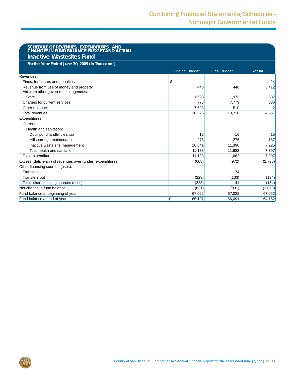## **SCHEDULE OF REVENUES, EXPENDITURES, AND CHANGES IN FUND BALANCE-BUDGET AND ACTUAL Inactive Wastesites Fund**

| For the Year Ended June 30, 2009 (In Thousands)                                 |                        |                     |         |
|---------------------------------------------------------------------------------|------------------------|---------------------|---------|
|                                                                                 | <b>Original Budget</b> | <b>Final Budget</b> | Actual  |
| Revenues:                                                                       |                        |                     |         |
| Fines, forfeitures and penalties                                                | \$                     |                     | 24      |
| Revenue from use of money and property<br>Aid from other governmental agencies: | 448                    | 448                 | 3,412   |
| <b>State</b>                                                                    | 1,698                  | 1,973               | 587     |
| Charges for current services                                                    | 776                    | 7,779               | 636     |
| Other revenue                                                                   | 7,603                  | 510                 | 2       |
| <b>Total revenues</b>                                                           | 10,525                 | 10,710              | 4,661   |
| Expenditures:                                                                   |                        |                     |         |
| Current:                                                                        |                        |                     |         |
| Health and sanitation:                                                          |                        |                     |         |
| Duck pond landfill cleanup                                                      | 16                     | 16                  | 15      |
| Hillsborough maintenance                                                        | 276                    | 276                 | 157     |
| Inactive waste site management                                                  | 10.841                 | 11.390              | 7,225   |
| Total health and sanitation                                                     | 11,133                 | 11,682              | 7,397   |
| Total expenditures                                                              | 11,133                 | 11,682              | 7,397   |
| Excess (deficiency) of revenues over (under) expenditures                       | (608)                  | (972)               | (2,736) |
| Other financing sources (uses):                                                 |                        |                     |         |
| Transfers in                                                                    |                        | 174                 |         |
| <b>Transfers out</b>                                                            | (223)                  | (133)               | (134)   |
| Total other financing sources (uses)                                            | (223)                  | 41                  | (134)   |
| Net change in fund balance                                                      | (831)                  | (931)               | (2,870) |
| Fund balance at beginning of year                                               | 67,022                 | 67,022              | 67,022  |
| Fund balance at end of year                                                     | \$<br>66,191           | 66,091              | 64,152  |

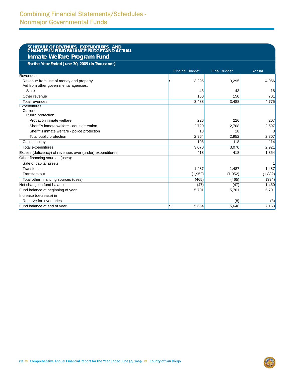## **SCHEDULE OF REVENUES, EXPENDITURES, AND CHANGES IN FUND BALANCE-BUDGET AND ACTUAL Inmate Welfare Program Fund**

| For the Year Ended June 30, 2009 (In Thousands)           |                                   |                     |         |
|-----------------------------------------------------------|-----------------------------------|---------------------|---------|
|                                                           | <b>Original Budget</b>            | <b>Final Budget</b> | Actual  |
| Revenues:                                                 |                                   |                     |         |
| Revenue from use of money and property                    | 3,295<br>l\$                      | 3,295               | 4,056   |
| Aid from other governmental agencies:                     |                                   |                     |         |
| <b>State</b>                                              | 43                                | 43                  | 18      |
| Other revenue                                             | 150                               | 150                 | 701     |
| Total revenues                                            | 3,488                             | 3,488               | 4,775   |
| Expenditures:                                             |                                   |                     |         |
| Current:                                                  |                                   |                     |         |
| Public protection:                                        |                                   |                     |         |
| Probation inmate welfare                                  | 226                               | 226                 | 207     |
| Sheriff's inmate welfare - adult detention                | 2,720                             | 2,708               | 2,597   |
| Sheriff's inmate welfare - police protection              | 18                                | 18                  | 3       |
| Total public protection                                   | 2,964                             | 2,952               | 2,807   |
| Capital outlay                                            | 106                               | 118                 | 114     |
| <b>Total expenditures</b>                                 | 3,070                             | 3,070               | 2,921   |
| Excess (deficiency) of revenues over (under) expenditures | 418                               | 418                 | 1,854   |
| Other financing sources (uses):                           |                                   |                     |         |
| Sale of capital assets                                    |                                   |                     |         |
| Transfers in                                              | 1,487                             | 1,487               | 1,487   |
| Transfers out                                             | (1,952)                           | (1,952)             | (1,882) |
| Total other financing sources (uses)                      | (465)                             | (465)               | (394)   |
| Net change in fund balance                                | (47)                              | (47)                | 1,460   |
| Fund balance at beginning of year                         | 5,701                             | 5,701               | 5,701   |
| Increase (decrease) in                                    |                                   |                     |         |
| Reserve for inventories                                   |                                   | (8)                 | (8)     |
| Fund balance at end of year                               | $\overline{\mathcal{E}}$<br>5,654 | 5,646               | 7,153   |

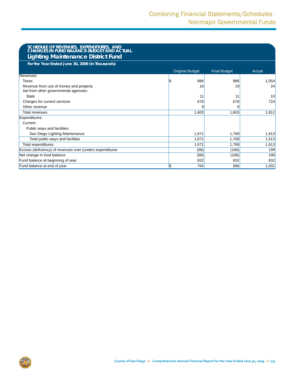## **SCHEDULE OF REVENUES, EXPENDITURES, AND CHANGES IN FUND BALANCE-BUDGET AND ACTUAL Lighting Maintenance District Fund**

| ັ<br>ັ                                                    |                        |                     |        |
|-----------------------------------------------------------|------------------------|---------------------|--------|
| For the Year Ended June 30, 2009 (In Thousands)           |                        |                     |        |
|                                                           | <b>Original Budget</b> | <b>Final Budget</b> | Actual |
| Revenues:                                                 |                        |                     |        |
| Taxes                                                     | 886                    | 886                 | 1,054  |
| Revenue from use of money and property                    | 19                     | 19                  | 24     |
| Aid from other governmental agencies:                     |                        |                     |        |
| <b>State</b>                                              | 11                     | 11                  | 10     |
| Charges for current services                              | 678                    | 678                 | 724    |
| Other revenue                                             | 9                      |                     |        |
| Total revenues                                            | 1,603                  | 1,603               | 1,812  |
| Expenditures:                                             |                        |                     |        |
| Current:                                                  |                        |                     |        |
| Public ways and facilities:                               |                        |                     |        |
| San Diego Lighting Maintenance                            | 1,671                  | 1,769               | 1,613  |
| Total public ways and facilities                          | 1,671                  | 1,769               | 1,613  |
| Total expenditures                                        | 1,671                  | 1,769               | 1,613  |
| Excess (deficiency) of revenues over (under) expenditures | (68)                   | (166)               | 199    |
| Net change in fund balance                                | (68)                   | (166)               | 199    |
| Fund balance at beginning of year                         | 832                    | 832                 | 832    |
| Fund balance at end of year                               | 764                    | 666                 | 1,031  |

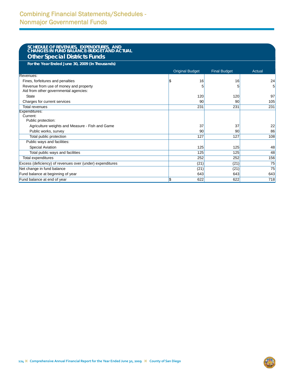## **SCHEDULE OF REVENUES, EXPENDITURES, AND CHANGES IN FUND BALANCE-BUDGET AND ACTUAL Other Special Districts Funds**

| For the Year Ended June 30, 2009 (In Thousands)           |                        |                     |                |
|-----------------------------------------------------------|------------------------|---------------------|----------------|
|                                                           | <b>Original Budget</b> | <b>Final Budget</b> | Actual         |
| Revenues:                                                 |                        |                     |                |
| Fines, forfeitures and penalties                          | 16                     | 16                  | 24             |
| Revenue from use of money and property                    |                        |                     | 5 <sup>1</sup> |
| Aid from other governmental agencies:                     |                        |                     |                |
| <b>State</b>                                              | 120                    | 120                 | 97             |
| Charges for current services                              | 90                     | 90                  | 105            |
| Total revenues                                            | 231                    | 231                 | 231            |
| Expenditures:                                             |                        |                     |                |
| Current:                                                  |                        |                     |                |
| Public protection:                                        |                        |                     |                |
| Agriculture weights and Measure - Fish and Game           | 37                     | 37                  | 22             |
| Public works, survey                                      | 90                     | 90                  | 86             |
| Total public protection                                   | 127                    | 127                 | 108            |
| Public ways and facilities:                               |                        |                     |                |
| Special Aviation                                          | 125                    | 125                 | 48             |
| Total public ways and facilities                          | 125                    | 125                 | 48             |
| Total expenditures                                        | 252                    | 252                 | 156            |
| Excess (deficiency) of revenues over (under) expenditures | (21)                   | (21)                | 75             |
| Net change in fund balance                                | (21)                   | (21)                | 75             |
| Fund balance at beginning of year                         | 643                    | 643                 | 643            |
| Fund balance at end of year                               | \$<br>622              | 622                 | 718            |

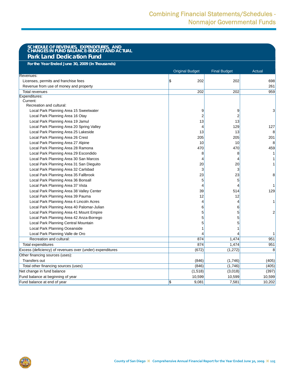| SCHEDULE OF REVENUES, EXPENDITURES, AND<br>CHANGES IN FUND BALANCE-BUDGET AND ACTUAL<br><b>Park Land Dedication Fund</b> |                        |                       |        |
|--------------------------------------------------------------------------------------------------------------------------|------------------------|-----------------------|--------|
| For the Year Ended June 30, 2009 (In Thousands)                                                                          |                        |                       |        |
|                                                                                                                          | <b>Original Budget</b> | <b>Final Budget</b>   | Actual |
| Revenues:                                                                                                                |                        |                       |        |
| Licenses, permits and franchise fees                                                                                     | \$                     | 202<br>202            | 698    |
| Revenue from use of money and property                                                                                   |                        |                       | 261    |
| <b>Total revenues</b>                                                                                                    |                        | 202<br>202            | 959    |
| Expenditures:                                                                                                            |                        |                       |        |
| Current:                                                                                                                 |                        |                       |        |
| Recreation and cultural:                                                                                                 |                        |                       |        |
| Local Park Planning Area 15 Sweetwater                                                                                   |                        | 9<br>9                | 3      |
| Local Park Planning Area 16 Otay                                                                                         |                        | 2<br>2                |        |
| Local Park Planning Area 19 Jamul                                                                                        |                        | 13<br>13              |        |
| Local Park Planning Area 20 Spring Valley                                                                                |                        | 129<br>4              | 127    |
| Local Park Planning Area 25 Lakeside                                                                                     |                        | 13<br>13              | 8      |
| Local Park Planning Area 26 Crest                                                                                        |                        | 205<br>205            | 201    |
| Local Park Planning Area 27 Alpine                                                                                       |                        | 10<br>10              | 8      |
| Local Park Planning Area 28 Ramona                                                                                       |                        | 470<br>470            | 459    |
| Local Park Planning Area 29 Escondido                                                                                    |                        | 8<br>8                | 1      |
| Local Park Planning Area 30 San Marcos                                                                                   |                        | 4<br>4                | 1      |
| Local Park Planning Area 31 San Dieguito                                                                                 |                        | 20 <sub>2</sub><br>20 | 1      |
| Local Park Planning Area 32 Carlsbad                                                                                     |                        | 3<br>3                |        |
| Local Park Planning Area 35 Fallbrook                                                                                    |                        | 23<br>23              | 8      |
| Local Park Planning Area 36 Bonsall                                                                                      |                        | $\overline{5}$<br>5   |        |
| Local Park Planning Area 37 Vista                                                                                        |                        | 4<br>4                |        |
| Local Park Planning Area 38 Valley Center                                                                                |                        | 39<br>514             | 129    |
| Local Park Planning Area 39 Pauma                                                                                        |                        | 12<br>12              |        |
| Local Park Planning Area 4 Lincoln Acres                                                                                 |                        | 4<br>4                | 1      |
| Local Park Planning Area 40 Palomar-Julian                                                                               |                        | 6<br>6                |        |
| Local Park Planning Area 41 Mount Empire                                                                                 |                        | 5<br>5                | 2      |
| Local Park Planning Area 42 Anza-Borrego                                                                                 |                        | 5<br>5                |        |
| Local Park Planning Central Mountain                                                                                     |                        | 5<br>5                |        |
| Local Park Planning Oceanside                                                                                            |                        |                       |        |
| Local Park Planning Valle de Oro                                                                                         |                        | 4                     | 1      |
| Recreation and cultural:                                                                                                 |                        | 874<br>1,474          | 951    |
| Total expenditures                                                                                                       |                        | 874<br>1,474          | 951    |
| Excess (deficiency) of revenues over (under) expenditures                                                                |                        | (672)<br>(1,272)      | 8      |
| Other financing sources (uses):                                                                                          |                        |                       |        |
| <b>Transfers out</b>                                                                                                     |                        | (846)<br>(1,746)      | (405)  |
| Total other financing sources (uses)                                                                                     |                        | (846)<br>(1,746)      | (405)  |
| Net change in fund balance                                                                                               | (1,518)                | (3,018)               | (397)  |
| Fund balance at beginning of year                                                                                        | 10,599                 | 10,599                | 10,599 |
| Fund balance at end of year                                                                                              | l\$                    | 9,081<br>7,581        | 10,202 |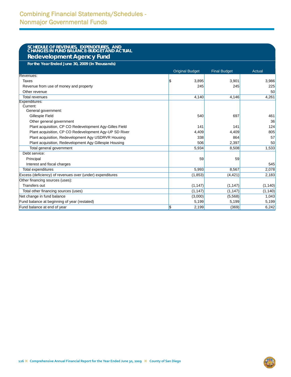## **SCHEDULE OF REVENUES, EXPENDITURES, AND CHANGES IN FUND BALANCE-BUDGET AND ACTUAL Redevelopment Agency Fund**

| For the Year Ended June 30, 2009 (In Thousands)           |                        |                     |          |
|-----------------------------------------------------------|------------------------|---------------------|----------|
|                                                           | <b>Original Budget</b> | <b>Final Budget</b> | Actual   |
| Revenues:                                                 |                        |                     |          |
| Taxes                                                     | 3,895                  | 3,901               | 3,986    |
| Revenue from use of money and property                    | 245                    | 245                 | 225      |
| Other revenue                                             |                        |                     | 50       |
| Total revenues                                            | 4,140                  | 4,146               | 4,261    |
| Expenditures:                                             |                        |                     |          |
| Current:                                                  |                        |                     |          |
| General government:                                       |                        |                     |          |
| Gillespie Field                                           | 540                    | 697                 | 461      |
| Other general government                                  |                        |                     | 36       |
| Plant acquisition, CP CO Redevelopment Agy-Gilles Field   | 141                    | 141                 | 124      |
| Plant acquisition, CP CO Redevelopment Agy-UP SD River    | 4,409                  | 4,409               | 805      |
| Plant acquisition, Redevelopment Agy USDRVR Housing       | 338                    | 864                 | 57       |
| Plant acquisition, Redevelopment Agy Gillespie Housing    | 506                    | 2,397               | 50       |
| Total general government                                  | 5,934                  | 8,508               | 1,533    |
| Debt service:                                             |                        |                     |          |
| Principal                                                 | 59                     | 59                  |          |
| Interest and fiscal charges                               |                        |                     | 545      |
| Total expenditures                                        | 5.993                  | 8,567               | 2,078    |
| Excess (deficiency) of revenues over (under) expenditures | (1,853)                | (4, 421)            | 2,183    |
| Other financing sources (uses):                           |                        |                     |          |
| Transfers out                                             | (1, 147)               | (1, 147)            | (1, 140) |
| Total other financing sources (uses)                      | (1, 147)               | (1, 147)            | (1, 140) |
| Net change in fund balance                                | (3,000)                | (5,568)             | 1,043    |
| Fund balance at beginning of year (restated)              | 5,199                  | 5,199               | 5,199    |
| Fund balance at end of year                               | \$<br>2,199            | (369)               | 6,242    |

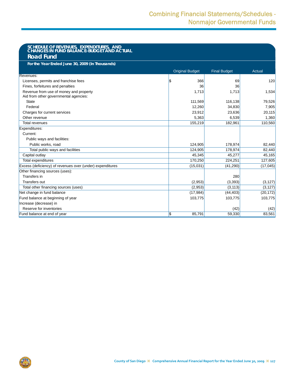## **SCHEDULE OF REVENUES, EXPENDITURES, AND CHANGES IN FUND BALANCE-BUDGET AND ACTUAL Road Fund**

| For the Year Ended June 30, 2009 (In Thousands)           |                        |                     |           |
|-----------------------------------------------------------|------------------------|---------------------|-----------|
|                                                           | <b>Original Budget</b> | <b>Final Budget</b> | Actual    |
| Revenues:                                                 |                        |                     |           |
| Licenses, permits and franchise fees                      | 366                    | 69                  | 120       |
| Fines, forfeitures and penalties                          | 36                     | 36                  |           |
| Revenue from use of money and property                    | 1,713                  | 1,713               | 1,534     |
| Aid from other governmental agencies:                     |                        |                     |           |
| <b>State</b>                                              | 111,569                | 116,138             | 79,526    |
| Federal                                                   | 12,260                 | 34,830              | 7,905     |
| Charges for current services                              | 23,912                 | 23,636              | 20,115    |
| Other revenue                                             | 5,363                  | 6,539               | 1,360     |
| <b>Total revenues</b>                                     | 155,219                | 182,961             | 110,560   |
| Expenditures:                                             |                        |                     |           |
| Current:                                                  |                        |                     |           |
| Public ways and facilities:                               |                        |                     |           |
| Public works, road                                        | 124,905                | 178,974             | 82,440    |
| Total public ways and facilities                          | 124,905                | 178,974             | 82,440    |
| Capital outlay                                            | 45,345                 | 45,277              | 45,165    |
| Total expenditures                                        | 170,250                | 224,251             | 127,605   |
| Excess (deficiency) of revenues over (under) expenditures | (15,031)               | (41, 290)           | (17, 045) |
| Other financing sources (uses):                           |                        |                     |           |
| Transfers in                                              |                        | 280                 |           |
| Transfers out                                             | (2,953)                | (3,393)             | (3, 127)  |
| Total other financing sources (uses)                      | (2,953)                | (3, 113)            | (3, 127)  |
| Net change in fund balance                                | (17, 984)              | (44, 403)           | (20, 172) |
| Fund balance at beginning of year                         | 103,775                | 103,775             | 103,775   |
| Increase (decrease) in                                    |                        |                     |           |
| Reserve for inventories                                   |                        | (42)                | (42)      |
| Fund balance at end of year                               | \$<br>85,791           | 59,330              | 83,561    |

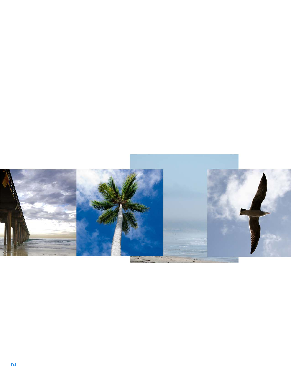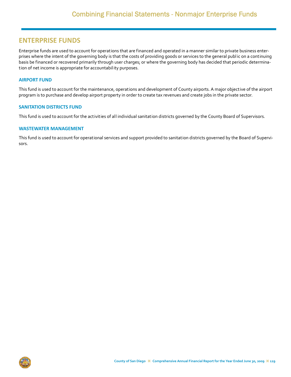## **ENTERPRISE FUNDS**

Enterprise funds are used to account for operations that are financed and operated in a manner similar to private business enter‐ prises where the intent of the governing body is that the costs of providing goods or services to the general publ ic on a continuing basis be financed or recovered primarily through user charges; or where the governing body has decided that periodic determination of net income is appropriate for accountabil ity purposes.

## **AIRPORT FUND**

This fund is used to account for the maintenance, operations and development of County airports. A major objective of the airport program is to purchase and develop airport property in order to create tax revenues and create jobs in the private sector.

## **SANITATION DISTRICTS FUND**

This fund is used to account for the activities of all individual sanitation districts governed by the County Board of Supervisors.

#### **WASTEWATER MANAGEMENT**

This fund is used to account for operational services and support provided to sanitation districts governed by the Board of Supervi‐ sors.

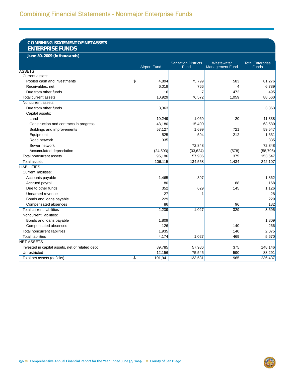## **COMBINING STATEMENT OF NET ASSETS ENTERPRISE FUNDS**

**June 30, 2009 (In thousands)**

|                                                 | <b>Airport Fund</b> | <b>Sanitation Districts</b><br>Fund | Wastewater<br><b>Management Fund</b> | <b>Total Enterprise</b><br><b>Funds</b> |
|-------------------------------------------------|---------------------|-------------------------------------|--------------------------------------|-----------------------------------------|
| <b>ASSETS</b>                                   |                     |                                     |                                      |                                         |
| Current assets:                                 |                     |                                     |                                      |                                         |
| Pooled cash and investments                     | S)<br>4,894         | 75,799                              | 583                                  | 81,276                                  |
| Receivables, net                                | 6,019               | 766                                 | 4                                    | 6,789                                   |
| Due from other funds                            | 16                  | $\overline{7}$                      | 472                                  | 495                                     |
| <b>Total current assets</b>                     | 10,929              | 76,572                              | 1,059                                | 88,560                                  |
| Noncurrent assets:                              |                     |                                     |                                      |                                         |
| Due from other funds                            | 3,363               |                                     |                                      | 3,363                                   |
| Capital assets:                                 |                     |                                     |                                      |                                         |
| Land                                            | 10,249              | 1,069                               | 20                                   | 11,338                                  |
| Construction and contracts in progress          | 48,180              | 15,400                              |                                      | 63,580                                  |
| Buildings and improvements                      | 57,127              | 1,699                               | 721                                  | 59,547                                  |
| Equipment                                       | 525                 | 594                                 | 212                                  | 1,331                                   |
| Road network                                    | 335                 |                                     |                                      | 335                                     |
| Sewer network                                   |                     | 72,848                              |                                      | 72,848                                  |
| Accumulated depreciation                        | (24, 593)           | (33, 624)                           | (578)                                | (58, 795)                               |
| Total noncurrent assets                         | 95,186              | 57,986                              | 375                                  | 153,547                                 |
| <b>Total assets</b>                             | 106,115             | 134,558                             | 1,434                                | 242,107                                 |
| <b>LIABILITIES</b>                              |                     |                                     |                                      |                                         |
| <b>Current liabilities:</b>                     |                     |                                     |                                      |                                         |
| Accounts payable                                | 1,465               | 397                                 |                                      | 1,862                                   |
| Accrued payroll                                 | 80                  |                                     | 88                                   | 168                                     |
| Due to other funds                              | 352                 | 629                                 | 145                                  | 1,126                                   |
| Unearned revenue                                | 27                  |                                     |                                      | 28                                      |
| Bonds and loans payable                         | 229                 |                                     |                                      | 229                                     |
| Compensated absences                            | 86                  |                                     | 96                                   | 182                                     |
| <b>Total current liabilities</b>                | 2,239               | 1,027                               | 329                                  | 3,595                                   |
| Noncurrent liabilities:                         |                     |                                     |                                      |                                         |
| Bonds and loans payable                         | 1,809               |                                     |                                      | 1,809                                   |
| Compensated absences                            | 126                 |                                     | 140                                  | 266                                     |
| <b>Total noncurrent liabilities</b>             | 1,935               |                                     | 140                                  | 2,075                                   |
| <b>Total liabilities</b>                        | 4,174               | 1,027                               | 469                                  | 5,670                                   |
| <b>NET ASSETS</b>                               |                     |                                     |                                      |                                         |
| Invested in capital assets, net of related debt | 89,785              | 57,986                              | 375                                  | 148,146                                 |
| Unrestricted                                    | 12,156              | 75,545                              | 590                                  | 88,291                                  |
| Total net assets (deficits)                     | S.<br>101,941       | 133,531                             | 965                                  | 236,437                                 |

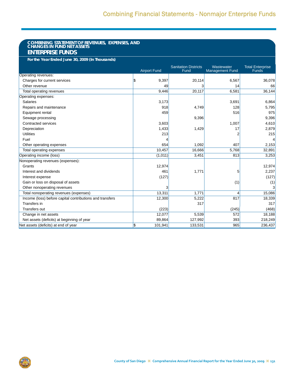## **COMBINING STATEMENT OF REVENUES, EXPENSES, AND CHANGES IN FUND NET ASSETS ENTERPRISE FUNDS**

**For the Year Ended June 30, 2009 (In Thousands)**

|                                                          | <b>Airport Fund</b> | <b>Sanitation Districts</b><br>Fund | Wastewater<br><b>Management Fund</b> | <b>Total Enterprise</b><br>Funds |
|----------------------------------------------------------|---------------------|-------------------------------------|--------------------------------------|----------------------------------|
| Operating revenues:                                      |                     |                                     |                                      |                                  |
| Charges for current services                             | S)<br>9,397         | 20,114                              | 6,567                                | 36,078                           |
| Other revenue                                            | 49                  | 3                                   | 14                                   | 66                               |
| Total operating revenues                                 | 9,446               | 20,117                              | 6,581                                | 36,144                           |
| Operating expenses:                                      |                     |                                     |                                      |                                  |
| <b>Salaries</b>                                          | 3,173               |                                     | 3,691                                | 6,864                            |
| Repairs and maintenance                                  | 918                 | 4,749                               | 128                                  | 5,795                            |
| Equipment rental                                         | 459                 |                                     | 516                                  | 975                              |
| Sewage processing                                        |                     | 9,396                               |                                      | 9,396                            |
| <b>Contracted services</b>                               | 3,603               |                                     | 1,007                                | 4,610                            |
| Depreciation                                             | 1,433               | 1,429                               | 17                                   | 2,879                            |
| <b>Utilities</b>                                         | 213                 |                                     |                                      | 215                              |
| Fuel                                                     |                     |                                     |                                      |                                  |
| Other operating expenses                                 | 654                 | 1.092                               | 407                                  | 2,153                            |
| Total operating expenses                                 | 10,457              | 16,666                              | 5,768                                | 32,891                           |
| Operating income (loss)                                  | (1,011)             | 3,451                               | 813                                  | 3,253                            |
| Nonoperating revenues (expenses):                        |                     |                                     |                                      |                                  |
| Grants                                                   | 12,974              |                                     |                                      | 12,974                           |
| Interest and dividends                                   | 461                 | 1,771                               | 5                                    | 2,237                            |
| Interest expense                                         | (127)               |                                     |                                      | (127)                            |
| Gain or loss on disposal of assets                       |                     |                                     | (1)                                  | (1)                              |
| Other nonoperating revenues                              | 3                   |                                     |                                      |                                  |
| Total nonoperating revenues (expenses)                   | 13,311              | 1,771                               | Δ                                    | 15,086                           |
| Income (loss) before capital contributions and transfers | 12,300              | 5,222                               | 817                                  | 18,339                           |
| Transfers in                                             |                     | 317                                 |                                      | 317                              |
| <b>Transfers out</b>                                     | (223)               |                                     | (245)                                | (468)                            |
| Change in net assets                                     | 12,077              | 5,539                               | 572                                  | 18,188                           |
| Net assets (deficits) at beginning of year               | 89,864              | 127,992                             | 393                                  | 218,249                          |
| Net assets (deficits) at end of year                     | S,<br>101,941       | 133,531                             | 965                                  | 236,437                          |

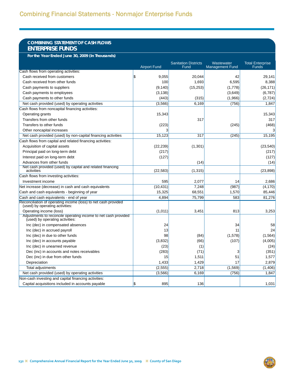## **COMBINING STATEMENT OF CASH FLOWS ENTERPRISE FUNDS**

**For the Year Ended June 30, 2009 (In Thousands)**

|                                                                                                   | <b>Airport Fund</b>  | <b>Sanitation Districts</b><br>Fund | Wastewater<br><b>Management Fund</b> | <b>Total Enterprise</b><br><b>Funds</b> |
|---------------------------------------------------------------------------------------------------|----------------------|-------------------------------------|--------------------------------------|-----------------------------------------|
| Cash flows from operating activities:                                                             |                      |                                     |                                      |                                         |
| Cash received from customers                                                                      | <b>S</b><br>9,055    | 20,044                              | 42                                   | 29,141                                  |
| Cash received from other funds                                                                    | 100                  | 1,693                               | 6,595                                | 8,388                                   |
| Cash payments to suppliers                                                                        | (9, 140)             | (15, 253)                           | (1,778)                              | (26, 171)                               |
| Cash payments to employees                                                                        | (3, 138)             |                                     | (3,649)                              | (6,787)                                 |
| Cash payments to other funds                                                                      | (443)                | (315)                               | (1,966)                              | (2,724)                                 |
| Net cash provided (used) by operating activities                                                  | (3, 566)             | 6,169                               | (756)                                | 1,847                                   |
| Cash flows from noncapital financing activities:                                                  |                      |                                     |                                      |                                         |
| Operating grants                                                                                  | 15,343               |                                     |                                      | 15,343                                  |
| Transfers from other funds                                                                        |                      | 317                                 |                                      | 317                                     |
| Transfers to other funds                                                                          | (223)                |                                     | (245)                                | (468)                                   |
| Other noncapital increases                                                                        | 3                    |                                     |                                      | 3                                       |
| Net cash provided (used) by non-capital financing activities                                      | 15,123               | 317                                 | (245)                                | 15,195                                  |
| Cash flows from capital and related financing activities:                                         |                      |                                     |                                      |                                         |
| Acquisition of capital assets                                                                     | (22, 239)            | (1, 301)                            |                                      | (23, 540)                               |
| Principal paid on long-term debt                                                                  | (217)                |                                     |                                      | (217)                                   |
| Interest paid on long-term debt                                                                   | (127)                |                                     |                                      | (127)                                   |
| Advances from other funds                                                                         |                      | (14)                                |                                      | (14)                                    |
| Net cash provided (used) by capital and related financing<br>activities                           | (22, 583)            | (1, 315)                            |                                      | (23, 898)                               |
| Cash flows from investing activities:                                                             |                      |                                     |                                      |                                         |
| Investment income                                                                                 | 595                  | 2,077                               | 14                                   | 2,686                                   |
| Net increase (decrease) in cash and cash equivalents                                              | (10, 431)            | 7,248                               | (987)                                | (4, 170)                                |
| Cash and cash equivalents - beginning of year                                                     | 15,325               | 68,551                              | 1,570                                | 85,446                                  |
| Cash and cash equivalents - end of year                                                           | 4,894                | 75,799                              | 583                                  | 81,276                                  |
| Reconciliation of operating income (loss) to net cash provided<br>(used) by operating activities: |                      |                                     |                                      |                                         |
| Operating income (loss)                                                                           | (1,011)              | 3,451                               | 813                                  | 3,253                                   |
| Adjustments to reconcile operating income to net cash provided<br>(used) by operating activities: |                      |                                     |                                      |                                         |
| Inc (dec) in compensated absences                                                                 | 24                   |                                     | 34                                   | 58                                      |
| Inc (dec) in accrued payroll                                                                      | 13                   |                                     | 11                                   | 24                                      |
| Inc (dec) in due to other funds                                                                   | 98                   | (84)                                | (1,578)                              | (1, 564)                                |
| Inc (dec) in accounts payable                                                                     | (3,832)              | (66)                                | (107)                                | (4,005)                                 |
| Inc (dec) in unearned revenue                                                                     | (23)                 | (1)                                 |                                      | (24)                                    |
| Dec (inc) in accounts and notes receivables                                                       | (283)                | (71)                                | 3                                    | (351)                                   |
| Dec (inc) in due from other funds                                                                 | 15                   | 1,511                               | 51                                   | 1,577                                   |
| Depreciation                                                                                      | 1,433                | 1,429                               | 17                                   | 2,879                                   |
| <b>Total adjustments</b>                                                                          | (2,555)              | 2,718                               | (1, 569)                             | (1,406)                                 |
| Net cash provided (used) by operating activities                                                  | (3, 566)             | 6,169                               | (756)                                | 1,847                                   |
| Non-cash investing and capital financing activities:                                              |                      |                                     |                                      |                                         |
| Capital acquisitions included in accounts payable                                                 | $\frac{1}{2}$<br>895 | 136                                 |                                      | 1,031                                   |

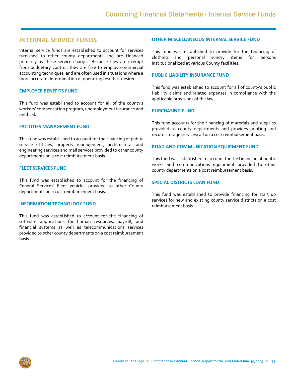## **INTERNAL SERVICE FUNDS**

Internal service funds are establ ished to account for services furnished to other county departments and are financed primarily by these service charges. Because they are exempt from budgetary control, they are free to employ commercial accounting techniques, and are often used in situations where a more accurate determination of operating results is desired.

#### **EMPLOYEE BENEFITS FUND**

This fund was establ ished to account for all of the county's workers' compensation program, unemployment insurance and medical.

#### **FACILITIES MANAGEMENT FUND**

This fund was establ ished to account for the financing of publ ic service utilities, property management, architectural and engineering services and mail services provided to other county departments on a cost reimbursement basis.

#### **FLEET SERVICES FUND**

This fund was established to account for the financing of General Services' Fleet vehicles provided to other County departments on a cost reimbursement basis.

#### **INFORMATION TECHNOLOGY FUND**

This fund was establ ished to account for the financing of software applications for human resources, payroll, and financial systems as well as telecommunications services provided to other county departments on a cost reimbursement basis.

#### **OTHER MISCELLANEOUS INTERNAL SERVICE FUND**

This fund was established to provide for the financing of clothing and personal sundry items for persons institutional ized at various County facil ities.

#### **PUBLIC LIABILITY INSURANCE FUND**

This fund was establ ished to account for all of county's publ ic l iabil ity claims and related expenses in compl iance with the appl icable provisions of the law.

#### **PURCHASING FUND**

This fund accounts for the financing of materials and suppl ies provided to county departments and provides printing and record storage services; all on a cost reimbursement basis.

#### **ROAD AND COMMUNICATION EQUIPMENT FUND**

This fund was establ ished to account for the financing of publ ic works and communications equipment provided to other county departments on a cost reimbursement basis.

#### **SPECIAL DISTRICTS LOAN FUND**

This fund was establ ished to provide financing for start up services for new and existing county service districts on a cost reimbursement basis.

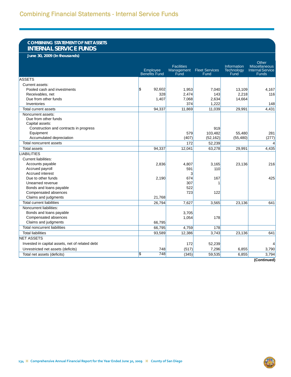## **COMBINING STATEMENT OF NET ASSETS INTERNAL SERVICE FUNDS**

**June 30, 2009 (In thousands)**

|                                                 | Employee               | <b>Facilities</b><br>Management | <b>Fleet Services</b> | Information<br>Technology | Other<br><b>Miscellaneous</b><br><b>Internal Service</b> |
|-------------------------------------------------|------------------------|---------------------------------|-----------------------|---------------------------|----------------------------------------------------------|
|                                                 | <b>Benefits</b> Fund   | Fund                            | Fund                  | Fund                      | <b>Funds</b>                                             |
| <b>ASSETS</b>                                   |                        |                                 |                       |                           |                                                          |
| Current assets:                                 |                        |                                 |                       |                           |                                                          |
| Pooled cash and investments                     | \$<br>92,602           | 1,953                           | 7,040                 | 13,109                    | 4,167                                                    |
| Receivables, net                                | 328                    | 2,474                           | 143                   | 2,218                     | 116                                                      |
| Due from other funds                            | 1,407                  | 7,068                           | 2,634                 | 14,664                    |                                                          |
| Inventories                                     |                        | 374                             | 1,222                 |                           | 148                                                      |
| Total current assets                            | 94,337                 | 11,869                          | 11,039                | 29,991                    | 4,431                                                    |
| Noncurrent assets:                              |                        |                                 |                       |                           |                                                          |
| Due from other funds                            |                        |                                 |                       |                           |                                                          |
| Capital assets:                                 |                        |                                 |                       |                           |                                                          |
| Construction and contracts in progress          |                        |                                 | 919                   |                           |                                                          |
| Equipment                                       |                        | 579                             | 103,482               | 55,480                    | 281                                                      |
| Accumulated depreciation                        |                        | (407)                           | (52, 162)             | (55, 480)                 | (277)                                                    |
| Total noncurrent assets                         |                        | 172                             | 52,239                |                           | 4                                                        |
| Total assets                                    | 94,337                 | 12,041                          | 63,278                | 29,991                    | 4,435                                                    |
| <b>LIABILITIES</b>                              |                        |                                 |                       |                           |                                                          |
| <b>Current liabilities:</b>                     |                        |                                 |                       |                           |                                                          |
| Accounts payable                                | 2,836                  | 4,807                           | 3,165                 | 23,136                    | 216                                                      |
| Accrued payroll                                 |                        | 591                             | 110                   |                           |                                                          |
| Accrued interest                                |                        | 3                               |                       |                           |                                                          |
| Due to other funds                              | 2,190                  | 674                             | 167                   |                           | 425                                                      |
| Unearned revenue                                |                        | 307                             |                       |                           |                                                          |
| Bonds and loans payable                         |                        | 522                             |                       |                           |                                                          |
| Compensated absences                            |                        | 723                             | 122                   |                           |                                                          |
| Claims and judgments                            | 21,768                 |                                 |                       |                           |                                                          |
| <b>Total current liabilities</b>                | 26,794                 | 7,627                           | 3,565                 | 23,136                    | 641                                                      |
| Noncurrent liabilities:                         |                        |                                 |                       |                           |                                                          |
| Bonds and loans payable                         |                        | 3,705                           |                       |                           |                                                          |
| Compensated absences                            |                        | 1,054                           | 178                   |                           |                                                          |
| Claims and judgments                            | 66,795                 |                                 |                       |                           |                                                          |
| <b>Total noncurrent liabilities</b>             | 66,795                 | 4,759                           | 178                   |                           |                                                          |
| <b>Total liabilities</b>                        | 93,589                 | 12,386                          | 3,743                 | 23,136                    | 641                                                      |
| <b>NET ASSETS</b>                               |                        |                                 |                       |                           |                                                          |
| Invested in capital assets, net of related debt |                        | 172                             | 52,239                |                           | 4                                                        |
| Unrestricted net assets (deficits)              | 748                    | (517)                           | 7,296                 | 6,855                     | 3,790                                                    |
| Total net assets (deficits)                     | $\overline{748}$<br>\$ | (345)                           | 59,535                | 6.855                     | 3,794                                                    |
|                                                 |                        |                                 |                       |                           |                                                          |

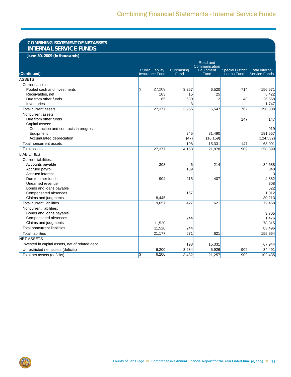## **COMBINING STATEMENT OF NET ASSETS INTERNAL SERVICE FUNDS**

**June 30, 2009 (In thousands)**

|                                                 |                                                  |                    | Road and<br>Communication |                                       |                                               |
|-------------------------------------------------|--------------------------------------------------|--------------------|---------------------------|---------------------------------------|-----------------------------------------------|
| (Continued)                                     | <b>Public Liability</b><br><b>Insurance Fund</b> | Purchasing<br>Fund | Equipment<br>Fund         | <b>Special District</b><br>Loans Fund | <b>Total Internal</b><br><b>Service Funds</b> |
| <b>ASSETS</b>                                   |                                                  |                    |                           |                                       |                                               |
| Current assets:                                 |                                                  |                    |                           |                                       |                                               |
| Pooled cash and investments                     | 1\$<br>27,209                                    | 3,257              | 6,520                     | 714                                   | 156,571                                       |
| Receivables, net                                | 103                                              | 15                 | 25                        |                                       | 5,422                                         |
| Due from other funds                            | 65                                               | 680                | $\overline{2}$            | 48                                    | 26,568                                        |
| Inventories                                     |                                                  | 3                  |                           |                                       | 1,747                                         |
| Total current assets                            | 27,377                                           | 3,955              | 6,547                     | 762                                   | 190,308                                       |
| Noncurrent assets:                              |                                                  |                    |                           |                                       |                                               |
| Due from other funds                            |                                                  |                    |                           | 147                                   | 147                                           |
| Capital assets:                                 |                                                  |                    |                           |                                       |                                               |
| Construction and contracts in progress          |                                                  |                    |                           |                                       | 919                                           |
| Equipment                                       |                                                  | 245                | 31,490                    |                                       | 191,557                                       |
| Accumulated depreciation                        |                                                  | (47)               | (16, 159)                 |                                       | (124, 532)                                    |
| Total noncurrent assets                         |                                                  | 198                | 15,331                    | 147                                   | 68,091                                        |
| <b>Total assets</b>                             | 27,377                                           | 4,153              | 21,878                    | 909                                   | 258,399                                       |
| <b>LIABILITIES</b>                              |                                                  |                    |                           |                                       |                                               |
| <b>Current liabilities:</b>                     |                                                  |                    |                           |                                       |                                               |
| Accounts payable                                | 308                                              | 6                  | 214                       |                                       | 34,688                                        |
| Accrued payroll                                 |                                                  | 139                |                           |                                       | 840                                           |
| Accrued interest                                |                                                  |                    |                           |                                       | $\overline{3}$                                |
| Due to other funds                              | 904                                              | 115                | 407                       |                                       | 4,882                                         |
| Unearned revenue                                |                                                  |                    |                           |                                       | 308                                           |
| Bonds and loans payable                         |                                                  |                    |                           |                                       | 522                                           |
| Compensated absences                            |                                                  | 167                |                           |                                       | 1,012                                         |
| Claims and judgments                            | 8,445                                            |                    |                           |                                       | 30,213                                        |
| <b>Total current liabilities</b>                | 9.657                                            | 427                | 621                       |                                       | 72,468                                        |
| Noncurrent liabilities:                         |                                                  |                    |                           |                                       |                                               |
| Bonds and loans payable                         |                                                  |                    |                           |                                       | 3,705                                         |
| Compensated absences                            |                                                  | 244                |                           |                                       | 1,476                                         |
| Claims and judgments                            | 11,520                                           |                    |                           |                                       | 78,315                                        |
| <b>Total noncurrent liabilities</b>             | 11,520                                           | 244                |                           |                                       | 83,496                                        |
| <b>Total liabilities</b>                        | 21,177                                           | 671                | 621                       |                                       | 155,964                                       |
| <b>NET ASSETS</b>                               |                                                  |                    |                           |                                       |                                               |
| Invested in capital assets, net of related debt |                                                  | 198                | 15,331                    |                                       | 67,944                                        |
| Unrestricted net assets (deficits)              | 6,200                                            | 3,284              | 5,926                     | 909                                   | 34,491                                        |
| Total net assets (deficits)                     | 1\$<br>6,200                                     | 3,482              | 21,257                    | 909                                   | 102,435                                       |

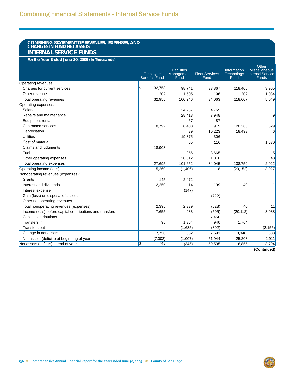## **COMBINING STATEMENT OF REVENUES, EXPENSES, AND CHANGES IN FUND NET ASSETS INTERNAL SERVICE FUNDS**

**For the Year Ended June 30, 2009 (In Thousands)**

|                                                          | Employee             | <b>Facilities</b><br>Management | <b>Fleet Services</b> | Information<br><b>Technology</b> | Other<br>Miscellaneous<br><b>Internal Service</b> |
|----------------------------------------------------------|----------------------|---------------------------------|-----------------------|----------------------------------|---------------------------------------------------|
|                                                          | <b>Benefits Fund</b> | Fund                            | Fund                  | Fund                             | <b>Funds</b>                                      |
| Operating revenues:                                      |                      |                                 |                       |                                  |                                                   |
| Charges for current services                             | \$<br>32,753         | 98,741                          | 33,867                | 118,405                          | 3,965                                             |
| Other revenue                                            | 202                  | 1,505                           | 196                   | 202                              | 1,084                                             |
| Total operating revenues                                 | 32,955               | 100,246                         | 34,063                | 118,607                          | 5,049                                             |
| Operating expenses:                                      |                      |                                 |                       |                                  |                                                   |
| <b>Salaries</b>                                          |                      | 24,237                          | 4,765                 |                                  |                                                   |
| Repairs and maintenance                                  |                      | 28,413                          | 7,948                 |                                  | 9                                                 |
| Equipment rental                                         |                      | 57                              | 87                    |                                  |                                                   |
| Contracted services                                      | 8,792                | 8,408                           | 919                   | 120.266                          | 329                                               |
| Depreciation                                             |                      | 39                              | 10,223                | 18,493                           | 6                                                 |
| <b>Utilities</b>                                         |                      | 19,375                          | 306                   |                                  |                                                   |
| Cost of material                                         |                      | 55                              | 116                   |                                  | 1,630                                             |
| Claims and judgments                                     | 18,903               |                                 |                       |                                  |                                                   |
| Fuel                                                     |                      | 256                             | 8,665                 |                                  | 5                                                 |
| Other operating expenses                                 |                      | 20,812                          | 1,016                 |                                  | 43                                                |
| Total operating expenses                                 | 27,695               | 101,652                         | 34,045                | 138,759                          | 2,022                                             |
| Operating income (loss)                                  | 5,260                | (1,406)                         | 18                    | (20, 152)                        | 3,027                                             |
| Nonoperating revenues (expenses):                        |                      |                                 |                       |                                  |                                                   |
| Grants                                                   | 145                  | 2,472                           |                       |                                  |                                                   |
| Interest and dividends                                   | 2,250                | 14                              | 199                   | 40                               | 11                                                |
| Interest expense                                         |                      | (147)                           |                       |                                  |                                                   |
| Gain (loss) on disposal of assets                        |                      |                                 | (722)                 |                                  |                                                   |
| Other nonoperating revenues                              |                      |                                 |                       |                                  |                                                   |
| Total nonoperating revenues (expenses)                   | 2,395                | 2,339                           | (523)                 | 40                               | 11                                                |
| Income (loss) before capital contributions and transfers | 7,655                | 933                             | (505)                 | (20, 112)                        | 3,038                                             |
| Capital contributions                                    |                      |                                 | 7,458                 |                                  |                                                   |
| Transfers in                                             | 95                   | 1,364                           | 940                   | 1,764                            |                                                   |
| Transfers out                                            |                      | (1,635)                         | (302)                 |                                  | (2, 155)                                          |
| Change in net assets                                     | 7,750                | 662                             | 7,591                 | (18, 348)                        | 883                                               |
| Net assets (deficits) at beginning of year               | (7,002)              | (1,007)                         | 51,944                | 25,203                           | 2,911                                             |
| Net assets (deficits) at end of year                     | l\$<br>748           | (345)                           | 59,535                | 6,855                            | 3,794                                             |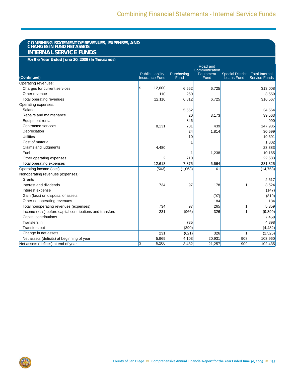## **COMBINING STATEMENT OF REVENUES, EXPENSES, AND CHANGES IN FUND NET ASSETS INTERNAL SERVICE FUNDS**

**For the Year Ended June 30, 2009 (In Thousands)**

|                                                          | Road and                                         |                    |                                    |                                            |                                               |
|----------------------------------------------------------|--------------------------------------------------|--------------------|------------------------------------|--------------------------------------------|-----------------------------------------------|
| (Continued)                                              | <b>Public Liability</b><br><b>Insurance Fund</b> | Purchasing<br>Fund | Communication<br>Equipment<br>Fund | <b>Special District</b><br>.<br>Loans Fund | <b>Total Internal</b><br><b>Service Funds</b> |
| Operating revenues:                                      |                                                  |                    |                                    |                                            |                                               |
| Charges for current services                             | S.<br>12,000                                     | 6,552              | 6,725                              |                                            | 313,008                                       |
| Other revenue                                            | 110                                              | 260                |                                    |                                            | 3,559                                         |
| Total operating revenues                                 | 12,110                                           | 6,812              | 6,725                              |                                            | 316,567                                       |
| Operating expenses:                                      |                                                  |                    |                                    |                                            |                                               |
| <b>Salaries</b>                                          |                                                  | 5,562              |                                    |                                            | 34,564                                        |
| Repairs and maintenance                                  |                                                  | 20                 | 3,173                              |                                            | 39,563                                        |
| Equipment rental                                         |                                                  | 846                |                                    |                                            | 990                                           |
| <b>Contracted services</b>                               | 8,131                                            | 701                | 439                                |                                            | 147,985                                       |
| Depreciation                                             |                                                  | 24                 | 1,814                              |                                            | 30,599                                        |
| <b>Utilities</b>                                         |                                                  | 10                 |                                    |                                            | 19,691                                        |
| Cost of material                                         |                                                  |                    |                                    |                                            | 1,802                                         |
| Claims and judgments                                     | 4,480                                            |                    |                                    |                                            | 23,383                                        |
| Fuel                                                     |                                                  |                    | 1,238                              |                                            | 10,165                                        |
| Other operating expenses                                 | $\overline{2}$                                   | 710                |                                    |                                            | 22,583                                        |
| Total operating expenses                                 | 12,613                                           | 7,875              | 6,664                              |                                            | 331,325                                       |
| Operating income (loss)                                  | (503)                                            | (1,063)            | 61                                 |                                            | (14, 758)                                     |
| Nonoperating revenues (expenses):                        |                                                  |                    |                                    |                                            |                                               |
| Grants                                                   |                                                  |                    |                                    |                                            | 2,617                                         |
| Interest and dividends                                   | 734                                              | 97                 | 178                                | 1                                          | 3,524                                         |
| Interest expense                                         |                                                  |                    |                                    |                                            | (147)                                         |
| Gain (loss) on disposal of assets                        |                                                  |                    | (97)                               |                                            | (819)                                         |
| Other nonoperating revenues                              |                                                  |                    | 184                                |                                            | 184                                           |
| Total nonoperating revenues (expenses)                   | 734                                              | 97                 | 265                                | 1                                          | 5,359                                         |
| Income (loss) before capital contributions and transfers | 231                                              | (966)              | 326                                | 1                                          | (9,399)                                       |
| Capital contributions                                    |                                                  |                    |                                    |                                            | 7,458                                         |
| Transfers in                                             |                                                  | 735                |                                    |                                            | 4,898                                         |
| Transfers out                                            |                                                  | (390)              |                                    |                                            | (4, 482)                                      |
| Change in net assets                                     | 231                                              | (621)              | 326                                | 1                                          | (1,525)                                       |
| Net assets (deficits) at beginning of year               | 5,969                                            | 4,103              | 20,931                             | 908                                        | 103,960                                       |
| Net assets (deficits) at end of year                     | \$<br>6,200                                      | 3,482              | 21,257                             | 909                                        | 102,435                                       |

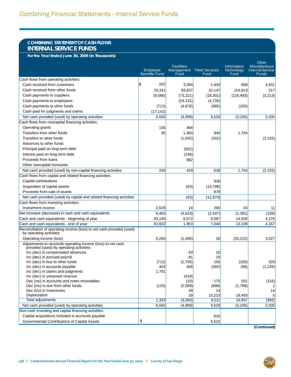## **COMBINING STATEMENT OF CASH FLOWS INTERNAL SERVICE FUNDS**

**For the Year Ended June 30, 2009 (In Thousands)**

|                                                                                                          |                           |                                         |                               | Other                                    |                                                                 |
|----------------------------------------------------------------------------------------------------------|---------------------------|-----------------------------------------|-------------------------------|------------------------------------------|-----------------------------------------------------------------|
|                                                                                                          | Employee<br>Benefits Fund | <b>Facilities</b><br>Management<br>Fund | <b>Fleet Services</b><br>Fund | Information<br><b>Technology</b><br>Fund | <b>Miscellaneous</b><br><b>Internal Service</b><br><b>Funds</b> |
| Cash flows from operating activities:                                                                    |                           |                                         |                               |                                          |                                                                 |
| Cash received from customers                                                                             | 1\$<br>202                | 3,394                                   | 1,403                         | 868                                      | 4,931                                                           |
| Cash received from other funds                                                                           | 33,331                    | 93,837                                  | 32,147                        | 114,613                                  | 317                                                             |
| Cash payments to suppliers                                                                               | (9,086)                   | (73, 221)                               | (18, 301)                     | (118, 493)                               | (3,213)                                                         |
| Cash payments to employees                                                                               |                           | (24, 131)                               | (4, 735)                      |                                          |                                                                 |
| Cash payments to other funds                                                                             | (712)                     | (4,878)                                 | (985)                         | (183)                                    |                                                                 |
| Cash paid for judgments and claims                                                                       | (17, 142)                 |                                         |                               |                                          |                                                                 |
| Net cash provided (used) by operating activities                                                         | 6,593                     | (4,999)                                 | 9,529                         | (3, 195)                                 | 2,035                                                           |
| Cash flows from noncapital financing activities:                                                         |                           |                                         |                               |                                          |                                                                 |
| Operating grants                                                                                         | 145                       | 468                                     |                               |                                          |                                                                 |
| Transfers from other funds                                                                               | 95                        | 1,364                                   | 940                           | 1,764                                    |                                                                 |
| Transfers to other funds                                                                                 |                           | (1,635)                                 | (302)                         |                                          | (2, 155)                                                        |
| Advances to other funds                                                                                  |                           |                                         |                               |                                          |                                                                 |
| Principal paid on long term debt                                                                         |                           | (502)                                   |                               |                                          |                                                                 |
| Interest paid on long term debt                                                                          |                           | (148)                                   |                               |                                          |                                                                 |
| Proceeds from loans                                                                                      |                           | 882                                     |                               |                                          |                                                                 |
|                                                                                                          |                           |                                         |                               |                                          |                                                                 |
| Other noncapital increases<br>Net cash provided (used) by non-capital financing activities               |                           |                                         |                               |                                          |                                                                 |
| Cash flows from capital and related financing activities:                                                | 240                       | 429                                     | 638                           | 1,764                                    | (2, 155)                                                        |
|                                                                                                          |                           |                                         |                               |                                          |                                                                 |
| Capital contributions                                                                                    |                           |                                         | 936                           |                                          |                                                                 |
| Acquisition of capital assets                                                                            |                           | (63)                                    | (14, 788)                     |                                          |                                                                 |
| Proceeds from sale of assets                                                                             |                           |                                         | 878                           |                                          |                                                                 |
| Net cash provided (used) by capital and related financing activities                                     |                           | (63)                                    | (12, 974)                     |                                          |                                                                 |
| Cash flows from investing activities:                                                                    |                           |                                         |                               |                                          |                                                                 |
| Investment income                                                                                        | 2,629                     | 14                                      | 260                           | 40                                       | 11                                                              |
| Net increase (decrease) in cash and cash equivalents                                                     | 9,462                     | (4,619)                                 | (2, 547)                      | (1, 391)                                 | (109)                                                           |
| Cash and cash equivalents - beginning of year                                                            | 83,140                    | 6,572                                   | 9,587                         | 14,500                                   | 4,276                                                           |
| Cash and cash equivalents - end of year                                                                  | 92,602                    | 1,953                                   | 7,040                         | 13,109                                   | 4,167                                                           |
| Reconciliation of operating income (loss) to net cash provided (used)<br>by operating activities:        |                           |                                         |                               |                                          |                                                                 |
| Operating income (loss)                                                                                  | 5,260                     | (1, 406)                                | 18                            | (20, 152)                                | 3,027                                                           |
| Adjustments to reconcile operating income (loss) to net cash<br>provided (used) by operating activities: |                           |                                         |                               |                                          |                                                                 |
| Inc (dec) in compensated absences                                                                        |                           | 63                                      | 10                            |                                          |                                                                 |
| Inc (dec) in accrued payroll                                                                             |                           | 81                                      | 19                            |                                          |                                                                 |
| Inc (dec) in due to other funds                                                                          | (712)                     | (1,756)                                 | 150                           | (183)                                    | 329                                                             |
| Inc (dec) in accounts payable<br>Inc (dec) in claims and judgments                                       | 404                       | 948                                     | (392)                         | (66)                                     | (1,226)                                                         |
| Inc (dec) in unearned revenue                                                                            | 1,761                     | (418)                                   |                               |                                          |                                                                 |
| Dec (inc) in accounts and notes receivables                                                              |                           | (10)                                    | 175                           | 501                                      | (116)                                                           |
| Dec (inc) in due from other funds                                                                        | (120)                     | (2,589)                                 | (688)                         | (1,788)                                  |                                                                 |
| Dec (inc) in Inventories                                                                                 |                           | 49                                      | 14                            |                                          | 14                                                              |
| Depreciation                                                                                             |                           | 39                                      | 10,223                        | 18,493                                   | $6 \mid$                                                        |
| <b>Total adjustments</b>                                                                                 | 1,333                     | (3, 593)                                | 9,511                         | 16,957                                   | (992)                                                           |
| Net cash provided (used) by operating activities                                                         | 6,593                     | (4,999)                                 | 9,529                         | (3, 195)                                 | 2,035                                                           |
| Non-cash investing and capital financing activities:                                                     |                           |                                         |                               |                                          |                                                                 |
| Capital acquisitions included in accounts payable                                                        |                           |                                         | 635                           |                                          |                                                                 |
| Governmental Contributions of Capital Assets                                                             | \$                        |                                         | 6,522                         |                                          |                                                                 |

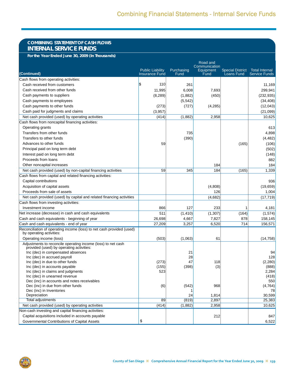## **COMBINING STATEMENT OF CASH FLOWS INTERNAL SERVICE FUNDS**

**For the Year Ended June 30, 2009 (In Thousands)**

|                                                                                                   |                         |            | <b>Road and</b>            |                         |                       |
|---------------------------------------------------------------------------------------------------|-------------------------|------------|----------------------------|-------------------------|-----------------------|
|                                                                                                   | <b>Public Liability</b> | Purchasing | Communication<br>Equipment | <b>Special District</b> | <b>Total Internal</b> |
| (Continued)                                                                                       | <b>Insurance Fund</b>   | Fund       | Fund                       | Loans Fund              | <b>Service Funds</b>  |
| Cash flows from operating activities:                                                             |                         |            |                            |                         |                       |
| Cash received from customers                                                                      | \$<br>110               | 261        |                            |                         | 11,169                |
| Cash received from other funds                                                                    | 11,995                  | 6,008      | 7,693                      |                         | 299,941               |
| Cash payments to suppliers                                                                        | (8, 289)                | (1,882)    | (450)                      |                         | (232, 935)            |
| Cash payments to employees                                                                        |                         | (5, 542)   |                            |                         | (34, 408)             |
| Cash payments to other funds                                                                      | (273)                   | (727)      | (4,285)                    |                         | (12,043)              |
| Cash paid for judgments and claims                                                                | (3,957)                 |            |                            |                         | (21,099)              |
| Net cash provided (used) by operating activities                                                  | (414)                   | (1,882)    | 2,958                      |                         | 10,625                |
| Cash flows from noncapital financing activities:                                                  |                         |            |                            |                         |                       |
| Operating grants                                                                                  |                         |            |                            |                         | 613                   |
| Transfers from other funds                                                                        |                         | 735        |                            |                         | 4,898                 |
| Transfers to other funds                                                                          |                         | (390)      |                            |                         | (4, 482)              |
| Advances to other funds                                                                           | 59                      |            |                            | (165)                   | (106)                 |
| Principal paid on long term debt                                                                  |                         |            |                            |                         | (502)                 |
| Interest paid on long term debt                                                                   |                         |            |                            |                         | (148)                 |
| Proceeds from loans                                                                               |                         |            |                            |                         | 882                   |
| Other noncapital increases                                                                        |                         |            | 184                        |                         | 184                   |
| Net cash provided (used) by non-capital financing activities                                      | 59                      | 345        | 184                        | (165)                   | 1,339                 |
| Cash flows from capital and related financing activities:                                         |                         |            |                            |                         |                       |
| Capital contributions                                                                             |                         |            |                            |                         | 936                   |
| Acquisition of capital assets                                                                     |                         |            | (4,808)                    |                         | (19, 659)             |
| Proceeds from sale of assets                                                                      |                         |            | 126                        |                         | 1,004                 |
| Net cash provided (used) by capital and related financing activities                              |                         |            | (4,682)                    |                         | (17, 719)             |
| Cash flows from investing activities:                                                             |                         |            |                            |                         |                       |
| Investment income                                                                                 | 866                     | 127        | 233                        | 1                       | 4,181                 |
| Net increase (decrease) in cash and cash equivalents                                              | 511                     | (1, 410)   | (1,307)                    | (164)                   | (1,574)               |
| Cash and cash equivalents - beginning of year                                                     | 26,698                  | 4,667      | 7,827                      | 878                     | 158,145               |
| Cash and cash equivalents - end of year                                                           | 27,209                  | 3,257      | 6,520                      | 714                     | 156,571               |
| Reconciliation of operating income (loss) to net cash provided (used)<br>by operating activities: |                         |            |                            |                         |                       |
| Operating income (loss)                                                                           | (503)                   | (1,063)    | 61                         |                         | (14, 758)             |
| Adjustments to reconcile operating income (loss) to net cash                                      |                         |            |                            |                         |                       |
| provided (used) by operating activities:                                                          |                         |            |                            |                         |                       |
| Inc (dec) in compensated absences                                                                 |                         | 21         |                            |                         | 94                    |
| Inc (dec) in accrued payroll                                                                      |                         | 28         |                            |                         | 128                   |
| Inc (dec) in due to other funds                                                                   | (273)                   | 47         | 118                        |                         | (2, 280)              |
| Inc (dec) in accounts payable                                                                     | (155)                   | (398)      | (3)                        |                         | (888)                 |
| Inc (dec) in claims and judgments<br>Inc (dec) in unearned revenue                                | 523                     |            |                            |                         | 2,284<br>(418)        |
| Dec (inc) in accounts and notes receivables                                                       |                         |            |                            |                         | 550                   |
| Dec (inc) in due from other funds                                                                 | (6)                     | (542)      | 968                        |                         | (4, 764)              |
| Dec (inc) in Inventories                                                                          |                         |            |                            |                         | 78                    |
| Depreciation                                                                                      |                         | 24         | 1,814                      |                         | 30,599                |
| Total adjustments                                                                                 | 89                      | (819)      | 2,897                      |                         | 25,383                |
| Net cash provided (used) by operating activities                                                  | (414)                   | (1,882)    | 2,958                      |                         | 10,625                |
| Non-cash investing and capital financing activities:                                              |                         |            |                            |                         |                       |
| Capital acquisitions included in accounts payable                                                 |                         |            | 212                        |                         | 847                   |
| Governmental Contributions of Capital Assets                                                      | \$                      |            |                            |                         | 6,522                 |

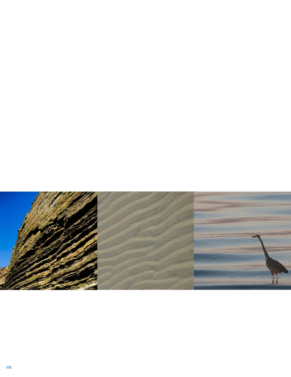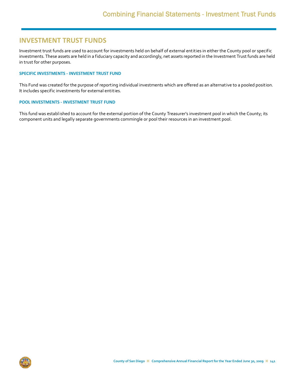## **INVESTMENT TRUST FUNDS**

Investment trust funds are used to account for investments held on behalf of external entities in either the County pool or specific investments. These assets are held in a fiduciary capacity and accordingly, net assets reported in the Investment Trust funds are held in trust for other purposes.

## **SPECIFIC INVESTMENTS ‐ INVESTMENT TRUST FUND**

This Fund was created for the purpose of reporting individual investments which are offered as an alternative to a pooled position. It includes specific investments for external entities.

#### **POOL INVESTMENTS ‐ INVESTMENT TRUST FUND**

This fund was establ ished to account for the external portion of the County Treasurer's investment pool in which the County; its component units and legally separate governments commingle or pool their resources in an investment pool.

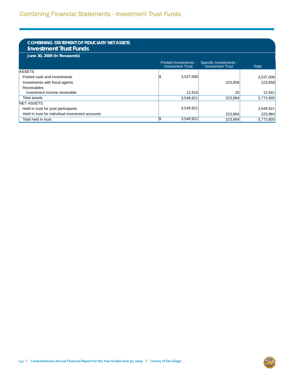## **COMBINING STATEMENT OF FIDUCIARY NET ASSETS Investment Trust Funds**

**June 30, 2009 (In Thousands)**

|                                                  | Pooled Investments -<br><b>Investment Trust</b> | Specific Investments -<br><b>Investment Trust</b> | <b>Total</b> |
|--------------------------------------------------|-------------------------------------------------|---------------------------------------------------|--------------|
| <b>ASSETS</b>                                    |                                                 |                                                   |              |
| Pooled cash and investments                      | 3,537,006                                       |                                                   | 3,537,006    |
| Investments with fiscal agents                   |                                                 | 223,858                                           | 223,858      |
| Receivables:                                     |                                                 |                                                   |              |
| Investment income receivable                     | 12.915                                          | 26                                                | 12,941       |
| Total assets                                     | 3.549.921                                       | 223.884                                           | 3,773,805    |
| <b>NET ASSETS</b>                                |                                                 |                                                   |              |
| Held in trust for pool participants              | 3,549,921                                       |                                                   | 3,549,921    |
| Held in trust for individual investment accounts |                                                 | 223.884                                           | 223,884      |
| Total held in trust                              | 3,549,921                                       | 223,884                                           | 3,773,805    |

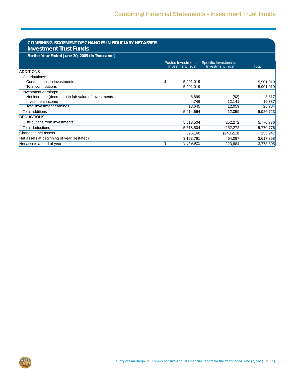## **COMBINING STATEMENT OF CHANGES IN FIDUCIARY NET ASSETS Investment Trust Funds**

**For the Year Ended June 30, 2009 (In Thousands)**

|                                                      | <b>Investment Trust</b> | Pooled Investments - Specific Investments -<br><b>Investment Trust</b> | Total     |
|------------------------------------------------------|-------------------------|------------------------------------------------------------------------|-----------|
| <b>ADDITIONS</b>                                     |                         |                                                                        |           |
| Contributions:                                       |                         |                                                                        |           |
| Contributions to investments                         | 5,901,019               |                                                                        | 5,901,019 |
| Total contributions                                  | 5,901,019               |                                                                        | 5,901,019 |
| Investment earnings:                                 |                         |                                                                        |           |
| Net increase (decrease) in fair value of Investments |                         | 8,899<br>(82)                                                          | 8,817     |
| Investment income                                    |                         | 12,141<br>4,746                                                        | 16,887    |
| Total investment earnings                            | 13,645                  | 12,059                                                                 | 25,704    |
| Total additions                                      | 5,914,664               | 12,059                                                                 | 5,926,723 |
| <b>DEDUCTIONS</b>                                    |                         |                                                                        |           |
| Distributions from investments                       | 5,518,504               | 252,272                                                                | 5,770,776 |
| Total deductions                                     | 5,518,504               | 252,272                                                                | 5,770,776 |
| Change in net assets                                 | 396,160                 | (240, 213)                                                             | 155,947   |
| Net assets at beginning of year (restated)           | 3,153,761               | 464,097                                                                | 3,617,858 |
| Net assets at end of year                            | 3,549,921               | 223,884                                                                | 3,773,805 |

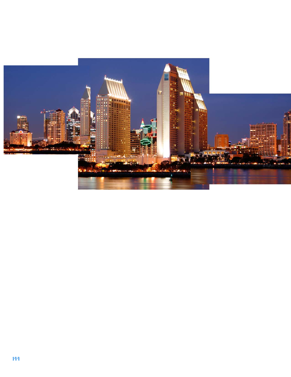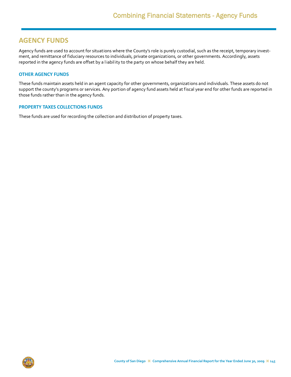## **AGENCY FUNDS**

Agency funds are used to account for situations where the County's role is purely custodial, such as the receipt, temporary investment, and remittance of fiduciary resources to individuals, private organizations, or other governments. Accordingly, assets reported in the agency funds are offset by a l iabil ity to the party on whose behalf they are held.

## **OTHER AGENCY FUNDS**

These funds maintain assets held in an agent capacity for other governments, organizations and individuals. These assets do not support the county's programs or services. Any portion of agency fund assets held at fiscal year end for other funds are reported in those funds rather than in the agency funds.

## **PROPERTY TAXES COLLECTIONS FUNDS**

These funds are used for recording the collection and distribution of property taxes.